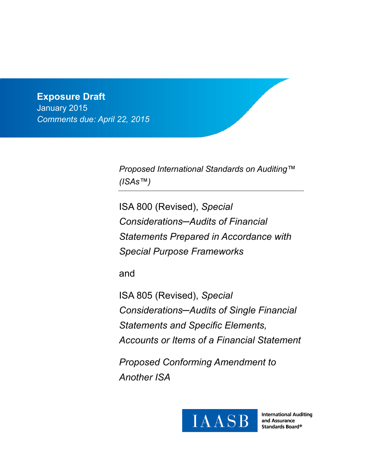**Exposure Draft** January 2015 *Comments due: April 22, 2015*

> *Proposed International Standards on Auditing™ (ISAs™)*

ISA 800 (Revised), *Special Considerations─Audits of Financial Statements Prepared in Accordance with Special Purpose Frameworks*

and

ISA 805 (Revised), *Special Considerations─Audits of Single Financial Statements and Specific Elements, Accounts or Items of a Financial Statement*

*Proposed Conforming Amendment to Another ISA* 



**International Auditing** and Assurance Standards Board®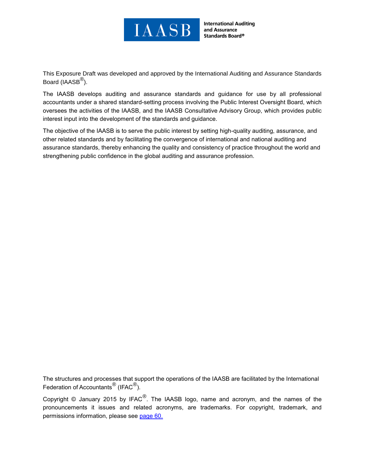

**International Auditing** and Assurance **Standards Board®** 

This Exposure Draft was developed and approved by the International Auditing and Assurance Standards Board (IAASB<sup>®</sup>).

The IAASB develops auditing and assurance standards and guidance for use by all professional accountants under a shared standard-setting process involving the Public Interest Oversight Board, which oversees the activities of the IAASB, and the IAASB Consultative Advisory Group, which provides public interest input into the development of the standards and guidance.

The objective of the IAASB is to serve the public interest by setting high-quality auditing, assurance, and other related standards and by facilitating the convergence of international and national auditing and assurance standards, thereby enhancing the quality and consistency of practice throughout the world and strengthening public confidence in the global auditing and assurance profession.

The structures and processes that support the operations of the IAASB are facilitated by the International Federation of Accountants $^@$  (IFAC $^@$ ).

Copyright © January 2015 by IFAC $^{\circledR}$ . The IAASB logo, name and acronym, and the names of the pronouncements it issues and related acronyms, are trademarks. For copyright, trademark, and permissions information, please see page 60.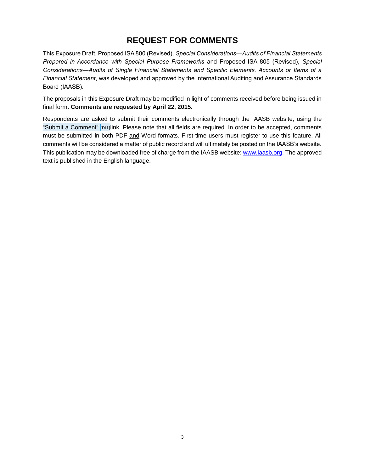# **REQUEST FOR COMMENTS**

This Exposure Draft, Proposed ISA 800 (Revised), *Special Considerations—Audits of Financial Statements Prepared in Accordance with Special Purpose Frameworks* and Proposed ISA 805 (Revised), *Special Considerations—Audits of Single Financial Statements and Specific Elements, Accounts or Items of a Financial Statement*, was developed and approved by the International Auditing and Assurance Standards Board (IAASB).

The proposals in this Exposure Draft may be modified in light of comments received before being issued in final form. **Comments are requested by April 22, 2015.**

Respondents are asked to submit their comments electronically through the IAASB website, using the "Submit a Comment" [DJ1]link. Please note that all fields are required. In order to be accepted, comments must be submitted in both PDF and Word formats. First-time users must register to use this feature. All comments will be considered a matter of public record and will ultimately be posted on the IAASB's website. This publication may be downloaded free of charge from the IAASB website: www.iaasb.org. The approved text is published in the English language.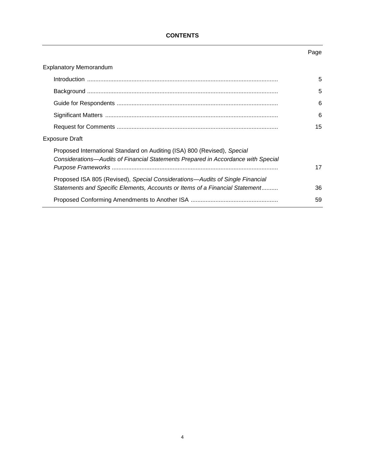## **CONTENTS**

## Page

| <b>Explanatory Memorandum</b>                                                                                                                                 |    |
|---------------------------------------------------------------------------------------------------------------------------------------------------------------|----|
|                                                                                                                                                               | 5  |
|                                                                                                                                                               | 5  |
|                                                                                                                                                               | 6  |
|                                                                                                                                                               | 6  |
|                                                                                                                                                               | 15 |
| <b>Exposure Draft</b>                                                                                                                                         |    |
| Proposed International Standard on Auditing (ISA) 800 (Revised), Special<br>Considerations—Audits of Financial Statements Prepared in Accordance with Special | 17 |
| Proposed ISA 805 (Revised), Special Considerations—Audits of Single Financial<br>Statements and Specific Elements, Accounts or Items of a Financial Statement | 36 |
|                                                                                                                                                               | 59 |
|                                                                                                                                                               |    |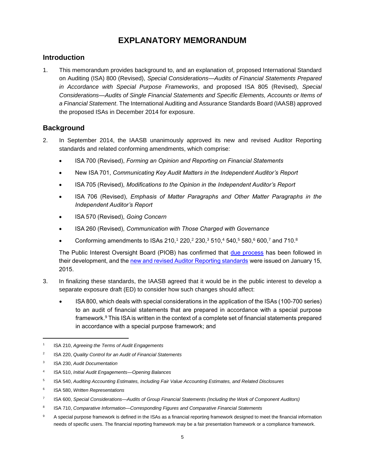# **EXPLANATORY MEMORANDUM**

## **Introduction**

1. This memorandum provides background to, and an explanation of, proposed International Standard on Auditing (ISA) 800 (Revised), *Special Considerations—Audits of Financial Statements Prepared in Accordance with Special Purpose Frameworks*, and proposed ISA 805 (Revised), *Special Considerations—Audits of Single Financial Statements and Specific Elements, Accounts or Items of a Financial Statement*. The International Auditing and Assurance Standards Board (IAASB) approved the proposed ISAs in December 2014 for exposure.

## **Background**

- 2. In September 2014, the IAASB unanimously approved its new and revised Auditor Reporting standards and related conforming amendments, which comprise:
	- ISA 700 (Revised), *Forming an Opinion and Reporting on Financial Statements*
	- New ISA 701, *Communicating Key Audit Matters in the Independent Auditor's Report*
	- ISA 705 (Revised), *Modifications to the Opinion in the Independent Auditor's Report*
	- ISA 706 (Revised), *Emphasis of Matter Paragraphs and Other Matter Paragraphs in the Independent Auditor's Report*
	- ISA 570 (Revised), *Going Concern*
	- ISA 260 (Revised), *Communication with Those Charged with Governance*
	- Conforming amendments to ISAs 210,<sup>1</sup> 220,<sup>2</sup> 230,<sup>3</sup> 510,<sup>4</sup> 540,<sup>5</sup> 580,<sup>6</sup> 600,<sup>7</sup> and 710.<sup>8</sup>

The Public Interest Oversight Board (PIOB) has confirmed that due process has been followed in their development, and the new and revised Auditor Reporting standards were issued on January 15, 2015.

- 3. In finalizing these standards, the IAASB agreed that it would be in the public interest to develop a separate exposure draft (ED) to consider how such changes should affect:
	- ISA 800, which deals with special considerations in the application of the ISAs (100-700 series) to an audit of financial statements that are prepared in accordance with a special purpose framework.<sup>9</sup> This ISA is written in the context of a complete set of financial statements prepared in accordance with a special purpose framework; and

 $\overline{a}$ 

- 5 ISA 540, *Auditing Accounting Estimates, Including Fair Value Accounting Estimates, and Related Disclosures*
- 6 ISA 580, *Written Representations*
- 7 ISA 600, *Special Considerations—Audits of Group Financial Statements (Including the Work of Component Auditors)*
- 8 ISA 710, *Comparative Information—Corresponding Figures and Comparative Financial Statements*
- <sup>9</sup> A special purpose framework is defined in the ISAs as a financial reporting framework designed to meet the financial information needs of specific users. The financial reporting framework may be a fair presentation framework or a compliance framework.

<sup>1</sup> ISA 210, *Agreeing the Terms of Audit Engagements*

 $\overline{2}$ ISA 220, *Quality Control for an Audit of Financial Statements*

<sup>3</sup> ISA 230, *Audit Documentation*

<sup>4</sup> ISA 510, *Initial Audit Engagements—Opening Balances*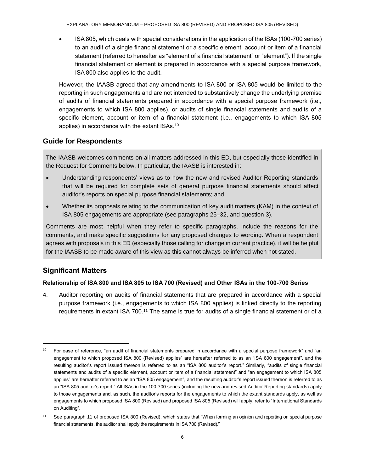EXPLANATORY MEMORANDUM – PROPOSED ISA 800 (REVISED) AND PROPOSED ISA 805 (REVISED)

 ISA 805, which deals with special considerations in the application of the ISAs (100-700 series) to an audit of a single financial statement or a specific element, account or item of a financial statement (referred to hereafter as "element of a financial statement" or "element"). If the single financial statement or element is prepared in accordance with a special purpose framework, ISA 800 also applies to the audit.

However, the IAASB agreed that any amendments to ISA 800 or ISA 805 would be limited to the reporting in such engagements and are not intended to substantively change the underlying premise of audits of financial statements prepared in accordance with a special purpose framework (i.e., engagements to which ISA 800 applies), or audits of single financial statements and audits of a specific element, account or item of a financial statement (i.e., engagements to which ISA 805 applies) in accordance with the extant ISAs.<sup>10</sup>

## **Guide for Respondents**

The IAASB welcomes comments on all matters addressed in this ED, but especially those identified in the Request for Comments below. In particular, the IAASB is interested in:

- Understanding respondents' views as to how the new and revised Auditor Reporting standards that will be required for complete sets of general purpose financial statements should affect auditor's reports on special purpose financial statements; and
- Whether its proposals relating to the communication of key audit matters (KAM) in the context of ISA 805 engagements are appropriate (see paragraphs 25–32, and question 3).

Comments are most helpful when they refer to specific paragraphs, include the reasons for the comments, and make specific suggestions for any proposed changes to wording. When a respondent agrees with proposals in this ED (especially those calling for change in current practice), it will be helpful for the IAASB to be made aware of this view as this cannot always be inferred when not stated.

## **Significant Matters**

 $\overline{a}$ 

#### **Relationship of ISA 800 and ISA 805 to ISA 700 (Revised) and Other ISAs in the 100-700 Series**

4. Auditor reporting on audits of financial statements that are prepared in accordance with a special purpose framework (i.e., engagements to which ISA 800 applies) is linked directly to the reporting requirements in extant ISA 700.<sup>11</sup> The same is true for audits of a single financial statement or of a

<sup>&</sup>lt;sup>10</sup> For ease of reference, "an audit of financial statements prepared in accordance with a special purpose framework" and "an engagement to which proposed ISA 800 (Revised) applies" are hereafter referred to as an "ISA 800 engagement", and the resulting auditor's report issued thereon is referred to as an "ISA 800 auditor's report." Similarly, "audits of single financial statements and audits of a specific element, account or item of a financial statement" and "an engagement to which ISA 805 applies" are hereafter referred to as an "ISA 805 engagement", and the resulting auditor's report issued thereon is referred to as an "ISA 805 auditor's report." All ISAs in the 100-700 series (including the new and revised Auditor Reporting standards) apply to those engagements and, as such, the auditor's reports for the engagements to which the extant standards apply, as well as engagements to which proposed ISA 800 (Revised) and proposed ISA 805 (Revised) will apply, refer to "International Standards on Auditing".

<sup>11</sup> See paragraph 11 of proposed ISA 800 (Revised), which states that "When forming an opinion and reporting on special purpose financial statements, the auditor shall apply the requirements in ISA 700 (Revised)."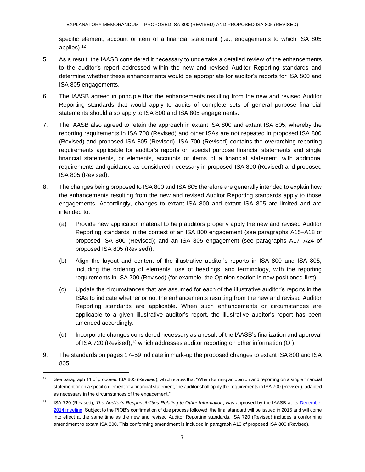specific element, account or item of a financial statement (i.e., engagements to which ISA 805 applies).<sup>12</sup>

- 5. As a result, the IAASB considered it necessary to undertake a detailed review of the enhancements to the auditor's report addressed within the new and revised Auditor Reporting standards and determine whether these enhancements would be appropriate for auditor's reports for ISA 800 and ISA 805 engagements.
- 6. The IAASB agreed in principle that the enhancements resulting from the new and revised Auditor Reporting standards that would apply to audits of complete sets of general purpose financial statements should also apply to ISA 800 and ISA 805 engagements.
- 7. The IAASB also agreed to retain the approach in extant ISA 800 and extant ISA 805, whereby the reporting requirements in ISA 700 (Revised) and other ISAs are not repeated in proposed ISA 800 (Revised) and proposed ISA 805 (Revised). ISA 700 (Revised) contains the overarching reporting requirements applicable for auditor's reports on special purpose financial statements and single financial statements, or elements, accounts or items of a financial statement, with additional requirements and guidance as considered necessary in proposed ISA 800 (Revised) and proposed ISA 805 (Revised).
- 8. The changes being proposed to ISA 800 and ISA 805 therefore are generally intended to explain how the enhancements resulting from the new and revised Auditor Reporting standards apply to those engagements. Accordingly, changes to extant ISA 800 and extant ISA 805 are limited and are intended to:
	- (a) Provide new application material to help auditors properly apply the new and revised Auditor Reporting standards in the context of an ISA 800 engagement (see paragraphs A15–A18 of proposed ISA 800 (Revised)) and an ISA 805 engagement (see paragraphs A17–A24 of proposed ISA 805 (Revised)).
	- (b) Align the layout and content of the illustrative auditor's reports in ISA 800 and ISA 805, including the ordering of elements, use of headings, and terminology, with the reporting requirements in ISA 700 (Revised) (for example, the Opinion section is now positioned first).
	- (c) Update the circumstances that are assumed for each of the illustrative auditor's reports in the ISAs to indicate whether or not the enhancements resulting from the new and revised Auditor Reporting standards are applicable. When such enhancements or circumstances are applicable to a given illustrative auditor's report, the illustrative auditor's report has been amended accordingly.
	- (d) Incorporate changes considered necessary as a result of the IAASB's finalization and approval of ISA 720 (Revised),<sup>13</sup> which addresses auditor reporting on other information (OI).
- 9. The standards on pages 17–59 indicate in mark-up the proposed changes to extant ISA 800 and ISA 805.

<sup>&</sup>lt;sup>12</sup> See paragraph 11 of proposed ISA 805 (Revised), which states that "When forming an opinion and reporting on a single financial statement or on a specific element of a financial statement, the auditor shall apply the requirements in ISA 700 (Revised), adapted as necessary in the circumstances of the engagement."

<sup>13</sup> ISA 720 (Revised), *The Auditor's Responsibilities Relating to Other Information*, was approved by the IAASB at its December 2014 meeting. Subject to the PIOB's confirmation of due process followed, the final standard will be issued in 2015 and will come into effect at the same time as the new and revised Auditor Reporting standards. ISA 720 (Revised) includes a conforming amendment to extant ISA 800. This conforming amendment is included in paragraph A13 of proposed ISA 800 (Revised).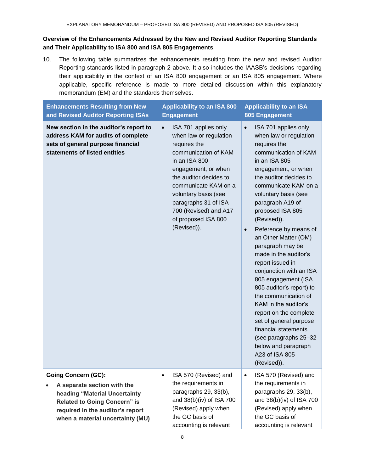## **Overview of the Enhancements Addressed by the New and Revised Auditor Reporting Standards and Their Applicability to ISA 800 and ISA 805 Engagements**

10. The following table summarizes the enhancements resulting from the new and revised Auditor Reporting standards listed in paragraph 2 above. It also includes the IAASB's decisions regarding their applicability in the context of an ISA 800 engagement or an ISA 805 engagement. Where applicable, specific reference is made to more detailed discussion within this explanatory memorandum (EM) and the standards themselves.

| <b>Enhancements Resulting from New</b><br>and Revised Auditor Reporting ISAs                                                                                                                              | <b>Applicability to an ISA 800</b><br><b>Engagement</b>                                                                                                                                                                                                                                                      | <b>Applicability to an ISA</b><br>805 Engagement                                                                                                                                                                                                                                                                                                                                                                                                                                                                                                                                                                                                                                                       |
|-----------------------------------------------------------------------------------------------------------------------------------------------------------------------------------------------------------|--------------------------------------------------------------------------------------------------------------------------------------------------------------------------------------------------------------------------------------------------------------------------------------------------------------|--------------------------------------------------------------------------------------------------------------------------------------------------------------------------------------------------------------------------------------------------------------------------------------------------------------------------------------------------------------------------------------------------------------------------------------------------------------------------------------------------------------------------------------------------------------------------------------------------------------------------------------------------------------------------------------------------------|
| New section in the auditor's report to<br>address KAM for audits of complete<br>sets of general purpose financial<br>statements of listed entities                                                        | ISA 701 applies only<br>$\bullet$<br>when law or regulation<br>requires the<br>communication of KAM<br>in an ISA 800<br>engagement, or when<br>the auditor decides to<br>communicate KAM on a<br>voluntary basis (see<br>paragraphs 31 of ISA<br>700 (Revised) and A17<br>of proposed ISA 800<br>(Revised)). | ISA 701 applies only<br>$\bullet$<br>when law or regulation<br>requires the<br>communication of KAM<br>in an ISA 805<br>engagement, or when<br>the auditor decides to<br>communicate KAM on a<br>voluntary basis (see<br>paragraph A19 of<br>proposed ISA 805<br>(Revised)).<br>Reference by means of<br>$\bullet$<br>an Other Matter (OM)<br>paragraph may be<br>made in the auditor's<br>report issued in<br>conjunction with an ISA<br>805 engagement (ISA<br>805 auditor's report) to<br>the communication of<br>KAM in the auditor's<br>report on the complete<br>set of general purpose<br>financial statements<br>(see paragraphs 25-32<br>below and paragraph<br>A23 of ISA 805<br>(Revised)). |
| <b>Going Concern (GC):</b><br>A separate section with the<br>heading "Material Uncertainty<br><b>Related to Going Concern" is</b><br>required in the auditor's report<br>when a material uncertainty (MU) | ISA 570 (Revised) and<br>$\bullet$<br>the requirements in<br>paragraphs 29, 33(b),<br>and 38(b)(iv) of ISA 700<br>(Revised) apply when<br>the GC basis of<br>accounting is relevant                                                                                                                          | ISA 570 (Revised) and<br>$\bullet$<br>the requirements in<br>paragraphs 29, 33(b),<br>and 38(b)(iv) of ISA 700<br>(Revised) apply when<br>the GC basis of<br>accounting is relevant                                                                                                                                                                                                                                                                                                                                                                                                                                                                                                                    |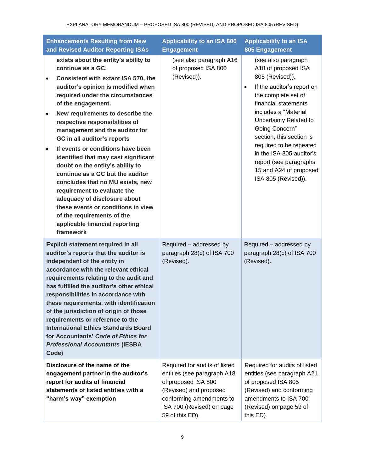| <b>Enhancements Resulting from New</b><br>and Revised Auditor Reporting ISAs                                                                                                                                                                                                                                                                                                                                                                                                                                                                                                                                                                                                                                                                      | <b>Applicability to an ISA 800</b><br><b>Engagement</b>                                                                                                                                   | <b>Applicability to an ISA</b><br>805 Engagement                                                                                                                                                                                                                                                                                                                                          |
|---------------------------------------------------------------------------------------------------------------------------------------------------------------------------------------------------------------------------------------------------------------------------------------------------------------------------------------------------------------------------------------------------------------------------------------------------------------------------------------------------------------------------------------------------------------------------------------------------------------------------------------------------------------------------------------------------------------------------------------------------|-------------------------------------------------------------------------------------------------------------------------------------------------------------------------------------------|-------------------------------------------------------------------------------------------------------------------------------------------------------------------------------------------------------------------------------------------------------------------------------------------------------------------------------------------------------------------------------------------|
| exists about the entity's ability to<br>continue as a GC.<br>Consistent with extant ISA 570, the<br>$\bullet$<br>auditor's opinion is modified when<br>required under the circumstances<br>of the engagement.<br>New requirements to describe the<br>٠<br>respective responsibilities of<br>management and the auditor for<br>GC in all auditor's reports<br>If events or conditions have been<br>$\bullet$<br>identified that may cast significant<br>doubt on the entity's ability to<br>continue as a GC but the auditor<br>concludes that no MU exists, new<br>requirement to evaluate the<br>adequacy of disclosure about<br>these events or conditions in view<br>of the requirements of the<br>applicable financial reporting<br>framework | (see also paragraph A16<br>of proposed ISA 800<br>(Revised)).                                                                                                                             | (see also paragraph<br>A18 of proposed ISA<br>805 (Revised)).<br>If the auditor's report on<br>$\bullet$<br>the complete set of<br>financial statements<br>includes a "Material<br>Uncertainty Related to<br>Going Concern"<br>section, this section is<br>required to be repeated<br>in the ISA 805 auditor's<br>report (see paragraphs<br>15 and A24 of proposed<br>ISA 805 (Revised)). |
| <b>Explicit statement required in all</b><br>auditor's reports that the auditor is<br>independent of the entity in<br>accordance with the relevant ethical<br>requirements relating to the audit and<br>has fulfilled the auditor's other ethical<br>responsibilities in accordance with<br>these requirements, with identification<br>of the jurisdiction of origin of those<br>requirements or reference to the<br><b>International Ethics Standards Board</b><br>for Accountants' Code of Ethics for<br><b>Professional Accountants (IESBA</b><br>Code)                                                                                                                                                                                        | Required - addressed by<br>paragraph 28(c) of ISA 700<br>(Revised).                                                                                                                       | Required - addressed by<br>paragraph 28(c) of ISA 700<br>(Revised).                                                                                                                                                                                                                                                                                                                       |
| Disclosure of the name of the<br>engagement partner in the auditor's<br>report for audits of financial<br>statements of listed entities with a<br>"harm's way" exemption                                                                                                                                                                                                                                                                                                                                                                                                                                                                                                                                                                          | Required for audits of listed<br>entities (see paragraph A18<br>of proposed ISA 800<br>(Revised) and proposed<br>conforming amendments to<br>ISA 700 (Revised) on page<br>59 of this ED). | Required for audits of listed<br>entities (see paragraph A21<br>of proposed ISA 805<br>(Revised) and conforming<br>amendments to ISA 700<br>(Revised) on page 59 of<br>this ED).                                                                                                                                                                                                          |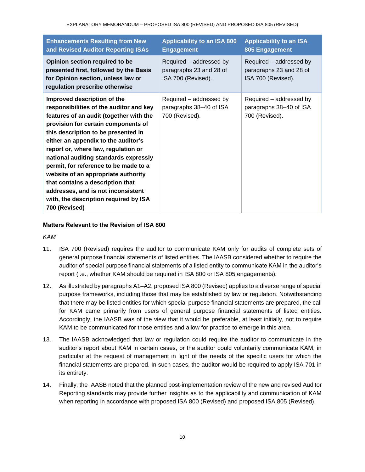| <b>Enhancements Resulting from New</b><br>and Revised Auditor Reporting ISAs                                                                                                                                                                                                                                                                                                                                                                                                                                                               | <b>Applicability to an ISA 800</b><br><b>Engagement</b>                  | <b>Applicability to an ISA</b><br>805 Engagement                         |
|--------------------------------------------------------------------------------------------------------------------------------------------------------------------------------------------------------------------------------------------------------------------------------------------------------------------------------------------------------------------------------------------------------------------------------------------------------------------------------------------------------------------------------------------|--------------------------------------------------------------------------|--------------------------------------------------------------------------|
| Opinion section required to be<br>presented first, followed by the Basis<br>for Opinion section, unless law or<br>regulation prescribe otherwise                                                                                                                                                                                                                                                                                                                                                                                           | Required - addressed by<br>paragraphs 23 and 28 of<br>ISA 700 (Revised). | Required - addressed by<br>paragraphs 23 and 28 of<br>ISA 700 (Revised). |
| Improved description of the<br>responsibilities of the auditor and key<br>features of an audit (together with the<br>provision for certain components of<br>this description to be presented in<br>either an appendix to the auditor's<br>report or, where law, regulation or<br>national auditing standards expressly<br>permit, for reference to be made to a<br>website of an appropriate authority<br>that contains a description that<br>addresses, and is not inconsistent<br>with, the description required by ISA<br>700 (Revised) | Required – addressed by<br>paragraphs 38-40 of ISA<br>700 (Revised).     | Required – addressed by<br>paragraphs 38-40 of ISA<br>700 (Revised).     |

#### **Matters Relevant to the Revision of ISA 800**

*KAM*

- 11. ISA 700 (Revised) requires the auditor to communicate KAM only for audits of complete sets of general purpose financial statements of listed entities. The IAASB considered whether to require the auditor of special purpose financial statements of a listed entity to communicate KAM in the auditor's report (i.e., whether KAM should be required in ISA 800 or ISA 805 engagements).
- 12. As illustrated by paragraphs A1–A2, proposed ISA 800 (Revised) applies to a diverse range of special purpose frameworks, including those that may be established by law or regulation. Notwithstanding that there may be listed entities for which special purpose financial statements are prepared, the call for KAM came primarily from users of general purpose financial statements of listed entities. Accordingly, the IAASB was of the view that it would be preferable, at least initially, not to require KAM to be communicated for those entities and allow for practice to emerge in this area.
- 13. The IAASB acknowledged that law or regulation could require the auditor to communicate in the auditor's report about KAM in certain cases, or the auditor could voluntarily communicate KAM, in particular at the request of management in light of the needs of the specific users for which the financial statements are prepared. In such cases, the auditor would be required to apply ISA 701 in its entirety.
- 14. Finally, the IAASB noted that the planned post-implementation review of the new and revised Auditor Reporting standards may provide further insights as to the applicability and communication of KAM when reporting in accordance with proposed ISA 800 (Revised) and proposed ISA 805 (Revised).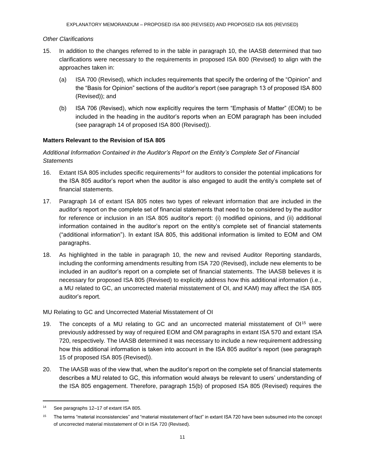#### *Other Clarifications*

- 15. In addition to the changes referred to in the table in paragraph 10, the IAASB determined that two clarifications were necessary to the requirements in proposed ISA 800 (Revised) to align with the approaches taken in:
	- (a) ISA 700 (Revised), which includes requirements that specify the ordering of the "Opinion" and the "Basis for Opinion" sections of the auditor's report (see paragraph 13 of proposed ISA 800 (Revised)); and
	- (b) ISA 706 (Revised), which now explicitly requires the term "Emphasis of Matter" (EOM) to be included in the heading in the auditor's reports when an EOM paragraph has been included (see paragraph 14 of proposed ISA 800 (Revised)).

#### **Matters Relevant to the Revision of ISA 805**

#### *Additional Information Contained in the Auditor's Report on the Entity's Complete Set of Financial Statements*

- 16. Extant ISA 805 includes specific requirements<sup>14</sup> for auditors to consider the potential implications for the ISA 805 auditor's report when the auditor is also engaged to audit the entity's complete set of financial statements.
- 17. Paragraph 14 of extant ISA 805 notes two types of relevant information that are included in the auditor's report on the complete set of financial statements that need to be considered by the auditor for reference or inclusion in an ISA 805 auditor's report: (i) modified opinions, and (ii) additional information contained in the auditor's report on the entity's complete set of financial statements ("additional information"). In extant ISA 805, this additional information is limited to EOM and OM paragraphs.
- 18. As highlighted in the table in paragraph 10, the new and revised Auditor Reporting standards, including the conforming amendments resulting from ISA 720 (Revised), include new elements to be included in an auditor's report on a complete set of financial statements. The IAASB believes it is necessary for proposed ISA 805 (Revised) to explicitly address how this additional information (i.e., a MU related to GC, an uncorrected material misstatement of OI, and KAM) may affect the ISA 805 auditor's report.

#### MU Relating to GC and Uncorrected Material Misstatement of OI

- 19. The concepts of a MU relating to GC and an uncorrected material misstatement of  $O1^{15}$  were previously addressed by way of required EOM and OM paragraphs in extant ISA 570 and extant ISA 720, respectively. The IAASB determined it was necessary to include a new requirement addressing how this additional information is taken into account in the ISA 805 auditor's report (see paragraph 15 of proposed ISA 805 (Revised)).
- 20. The IAASB was of the view that, when the auditor's report on the complete set of financial statements describes a MU related to GC, this information would always be relevant to users' understanding of the ISA 805 engagement. Therefore, paragraph 15(b) of proposed ISA 805 (Revised) requires the

<sup>14</sup> See paragraphs 12–17 of extant ISA 805.

<sup>&</sup>lt;sup>15</sup> The terms "material inconsistencies" and "material misstatement of fact" in extant ISA 720 have been subsumed into the concept of uncorrected material misstatement of OI in ISA 720 (Revised).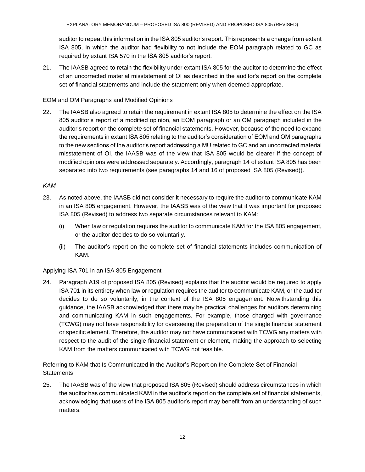auditor to repeat this information in the ISA 805 auditor's report. This represents a change from extant ISA 805, in which the auditor had flexibility to not include the EOM paragraph related to GC as required by extant ISA 570 in the ISA 805 auditor's report.

21. The IAASB agreed to retain the flexibility under extant ISA 805 for the auditor to determine the effect of an uncorrected material misstatement of OI as described in the auditor's report on the complete set of financial statements and include the statement only when deemed appropriate.

#### EOM and OM Paragraphs and Modified Opinions

22. The IAASB also agreed to retain the requirement in extant ISA 805 to determine the effect on the ISA 805 auditor's report of a modified opinion, an EOM paragraph or an OM paragraph included in the auditor's report on the complete set of financial statements. However, because of the need to expand the requirements in extant ISA 805 relating to the auditor's consideration of EOM and OM paragraphs to the new sections of the auditor's report addressing a MU related to GC and an uncorrected material misstatement of OI, the IAASB was of the view that ISA 805 would be clearer if the concept of modified opinions were addressed separately. Accordingly, paragraph 14 of extant ISA 805 has been separated into two requirements (see paragraphs 14 and 16 of proposed ISA 805 (Revised)).

#### *KAM*

- 23. As noted above, the IAASB did not consider it necessary to require the auditor to communicate KAM in an ISA 805 engagement. However, the IAASB was of the view that it was important for proposed ISA 805 (Revised) to address two separate circumstances relevant to KAM:
	- (i) When law or regulation requires the auditor to communicate KAM for the ISA 805 engagement, or the auditor decides to do so voluntarily.
	- (ii) The auditor's report on the complete set of financial statements includes communication of KAM.

#### Applying ISA 701 in an ISA 805 Engagement

24. Paragraph A19 of proposed ISA 805 (Revised) explains that the auditor would be required to apply ISA 701 in its entirety when law or regulation requires the auditor to communicate KAM, or the auditor decides to do so voluntarily, in the context of the ISA 805 engagement. Notwithstanding this guidance, the IAASB acknowledged that there may be practical challenges for auditors determining and communicating KAM in such engagements. For example, those charged with governance (TCWG) may not have responsibility for overseeing the preparation of the single financial statement or specific element. Therefore, the auditor may not have communicated with TCWG any matters with respect to the audit of the single financial statement or element, making the approach to selecting KAM from the matters communicated with TCWG not feasible.

Referring to KAM that Is Communicated in the Auditor's Report on the Complete Set of Financial **Statements** 

25. The IAASB was of the view that proposed ISA 805 (Revised) should address circumstances in which the auditor has communicated KAM in the auditor's report on the complete set of financial statements, acknowledging that users of the ISA 805 auditor's report may benefit from an understanding of such matters.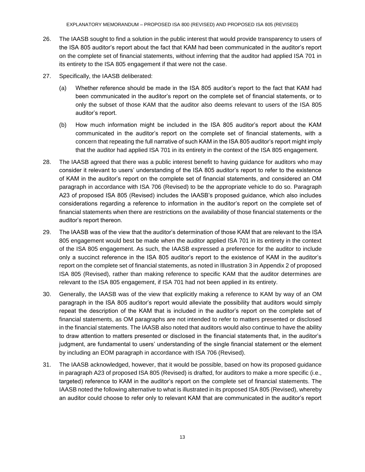EXPLANATORY MEMORANDUM – PROPOSED ISA 800 (REVISED) AND PROPOSED ISA 805 (REVISED)

- 26. The IAASB sought to find a solution in the public interest that would provide transparency to users of the ISA 805 auditor's report about the fact that KAM had been communicated in the auditor's report on the complete set of financial statements, without inferring that the auditor had applied ISA 701 in its entirety to the ISA 805 engagement if that were not the case.
- 27. Specifically, the IAASB deliberated:
	- (a) Whether reference should be made in the ISA 805 auditor's report to the fact that KAM had been communicated in the auditor's report on the complete set of financial statements, or to only the subset of those KAM that the auditor also deems relevant to users of the ISA 805 auditor's report.
	- (b) How much information might be included in the ISA 805 auditor's report about the KAM communicated in the auditor's report on the complete set of financial statements, with a concern that repeating the full narrative of such KAM in the ISA 805 auditor's report might imply that the auditor had applied ISA 701 in its entirety in the context of the ISA 805 engagement.
- 28. The IAASB agreed that there was a public interest benefit to having guidance for auditors who may consider it relevant to users' understanding of the ISA 805 auditor's report to refer to the existence of KAM in the auditor's report on the complete set of financial statements, and considered an OM paragraph in accordance with ISA 706 (Revised) to be the appropriate vehicle to do so. Paragraph A23 of proposed ISA 805 (Revised) includes the IAASB's proposed guidance, which also includes considerations regarding a reference to information in the auditor's report on the complete set of financial statements when there are restrictions on the availability of those financial statements or the auditor's report thereon.
- 29. The IAASB was of the view that the auditor's determination of those KAM that are relevant to the ISA 805 engagement would best be made when the auditor applied ISA 701 in its entirety in the context of the ISA 805 engagement. As such, the IAASB expressed a preference for the auditor to include only a succinct reference in the ISA 805 auditor's report to the existence of KAM in the auditor's report on the complete set of financial statements, as noted in Illustration 3 in Appendix 2 of proposed ISA 805 (Revised), rather than making reference to specific KAM that the auditor determines are relevant to the ISA 805 engagement, if ISA 701 had not been applied in its entirety.
- 30. Generally, the IAASB was of the view that explicitly making a reference to KAM by way of an OM paragraph in the ISA 805 auditor's report would alleviate the possibility that auditors would simply repeat the description of the KAM that is included in the auditor's report on the complete set of financial statements, as OM paragraphs are not intended to refer to matters presented or disclosed in the financial statements. The IAASB also noted that auditors would also continue to have the ability to draw attention to matters presented or disclosed in the financial statements that, in the auditor's judgment, are fundamental to users' understanding of the single financial statement or the element by including an EOM paragraph in accordance with ISA 706 (Revised).
- 31. The IAASB acknowledged, however, that it would be possible, based on how its proposed guidance in paragraph A23 of proposed ISA 805 (Revised) is drafted, for auditors to make a more specific (i.e., targeted) reference to KAM in the auditor's report on the complete set of financial statements. The IAASB noted the following alternative to what is illustrated in its proposed ISA 805 (Revised), whereby an auditor could choose to refer only to relevant KAM that are communicated in the auditor's report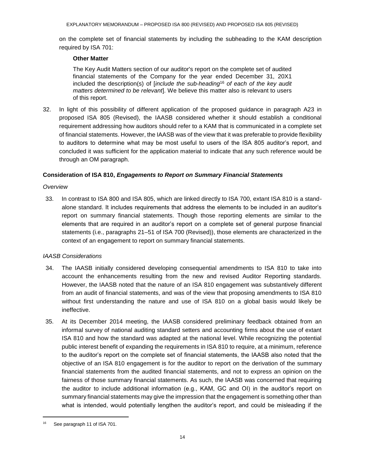on the complete set of financial statements by including the subheading to the KAM description required by ISA 701:

#### **Other Matter**

The Key Audit Matters section of our auditor's report on the complete set of audited financial statements of the Company for the year ended December 31, 20X1 included the description(s) of [*include the sub-heading*<sup>16</sup> *of each of the key audit matters determined to be relevant*]. We believe this matter also is relevant to users of this report.

32. In light of this possibility of different application of the proposed guidance in paragraph A23 in proposed ISA 805 (Revised), the IAASB considered whether it should establish a conditional requirement addressing how auditors should refer to a KAM that is communicated in a complete set of financial statements. However, the IAASB was of the view that it was preferable to provide flexibility to auditors to determine what may be most useful to users of the ISA 805 auditor's report, and concluded it was sufficient for the application material to indicate that any such reference would be through an OM paragraph.

#### **Consideration of ISA 810,** *Engagements to Report on Summary Financial Statements*

#### *Overview*

33. In contrast to ISA 800 and ISA 805, which are linked directly to ISA 700, extant ISA 810 is a standalone standard. It includes requirements that address the elements to be included in an auditor's report on summary financial statements. Though those reporting elements are similar to the elements that are required in an auditor's report on a complete set of general purpose financial statements (i.e., paragraphs 21–51 of ISA 700 (Revised)), those elements are characterized in the context of an engagement to report on summary financial statements.

#### *IAASB Considerations*

- 34. The IAASB initially considered developing consequential amendments to ISA 810 to take into account the enhancements resulting from the new and revised Auditor Reporting standards. However, the IAASB noted that the nature of an ISA 810 engagement was substantively different from an audit of financial statements, and was of the view that proposing amendments to ISA 810 without first understanding the nature and use of ISA 810 on a global basis would likely be ineffective.
- 35. At its December 2014 meeting, the IAASB considered preliminary feedback obtained from an informal survey of national auditing standard setters and accounting firms about the use of extant ISA 810 and how the standard was adapted at the national level. While recognizing the potential public interest benefit of expanding the requirements in ISA 810 to require, at a minimum, reference to the auditor's report on the complete set of financial statements, the IAASB also noted that the objective of an ISA 810 engagement is for the auditor to report on the derivation of the summary financial statements from the audited financial statements, and not to express an opinion on the fairness of those summary financial statements. As such, the IAASB was concerned that requiring the auditor to include additional information (e.g., KAM, GC and OI) in the auditor's report on summary financial statements may give the impression that the engagement is something other than what is intended, would potentially lengthen the auditor's report, and could be misleading if the

See paragraph 11 of ISA 701.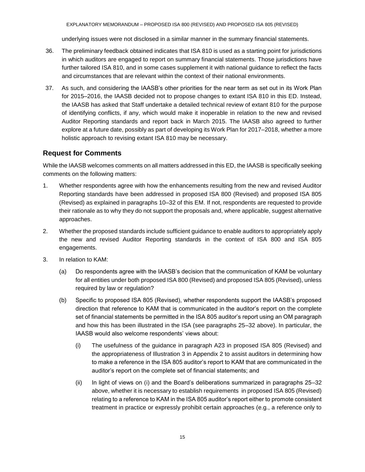underlying issues were not disclosed in a similar manner in the summary financial statements.

- 36. The preliminary feedback obtained indicates that ISA 810 is used as a starting point for jurisdictions in which auditors are engaged to report on summary financial statements. Those jurisdictions have further tailored ISA 810, and in some cases supplement it with national guidance to reflect the facts and circumstances that are relevant within the context of their national environments.
- 37. As such, and considering the IAASB's other priorities for the near term as set out in its Work Plan for 2015–2016, the IAASB decided not to propose changes to extant ISA 810 in this ED. Instead, the IAASB has asked that Staff undertake a detailed technical review of extant 810 for the purpose of identifying conflicts, if any, which would make it inoperable in relation to the new and revised Auditor Reporting standards and report back in March 2015. The IAASB also agreed to further explore at a future date, possibly as part of developing its Work Plan for 2017–2018, whether a more holistic approach to revising extant ISA 810 may be necessary.

## **Request for Comments**

While the IAASB welcomes comments on all matters addressed in this ED, the IAASB is specifically seeking comments on the following matters:

- 1. Whether respondents agree with how the enhancements resulting from the new and revised Auditor Reporting standards have been addressed in proposed ISA 800 (Revised) and proposed ISA 805 (Revised) as explained in paragraphs 10–32 of this EM. If not, respondents are requested to provide their rationale as to why they do not support the proposals and, where applicable, suggest alternative approaches.
- 2. Whether the proposed standards include sufficient guidance to enable auditors to appropriately apply the new and revised Auditor Reporting standards in the context of ISA 800 and ISA 805 engagements.
- 3. In relation to KAM:
	- (a) Do respondents agree with the IAASB's decision that the communication of KAM be voluntary for all entities under both proposed ISA 800 (Revised) and proposed ISA 805 (Revised), unless required by law or regulation?
	- (b) Specific to proposed ISA 805 (Revised), whether respondents support the IAASB's proposed direction that reference to KAM that is communicated in the auditor's report on the complete set of financial statements be permitted in the ISA 805 auditor's report using an OM paragraph and how this has been illustrated in the ISA (see paragraphs 25–32 above). In particular, the IAASB would also welcome respondents' views about:
		- (i) The usefulness of the guidance in paragraph A23 in proposed ISA 805 (Revised) and the appropriateness of Illustration 3 in Appendix 2 to assist auditors in determining how to make a reference in the ISA 805 auditor's report to KAM that are communicated in the auditor's report on the complete set of financial statements; and
		- (ii) In light of views on (i) and the Board's deliberations summarized in paragraphs 25–32 above, whether it is necessary to establish requirements in proposed ISA 805 (Revised) relating to a reference to KAM in the ISA 805 auditor's report either to promote consistent treatment in practice or expressly prohibit certain approaches (e.g., a reference only to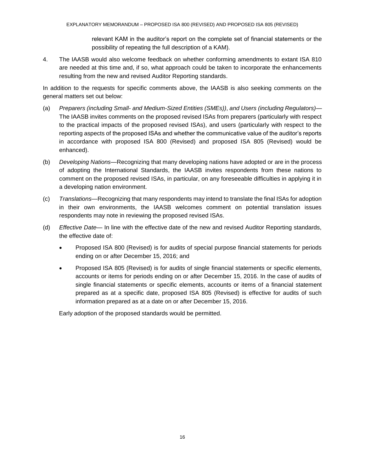relevant KAM in the auditor's report on the complete set of financial statements or the possibility of repeating the full description of a KAM).

4. The IAASB would also welcome feedback on whether conforming amendments to extant ISA 810 are needed at this time and, if so, what approach could be taken to incorporate the enhancements resulting from the new and revised Auditor Reporting standards.

In addition to the requests for specific comments above, the IAASB is also seeking comments on the general matters set out below:

- (a) *Preparers (including Small- and Medium-Sized Entities (SMEs))*, *and Users (including Regulators)* The IAASB invites comments on the proposed revised ISAs from preparers (particularly with respect to the practical impacts of the proposed revised ISAs), and users (particularly with respect to the reporting aspects of the proposed ISAs and whether the communicative value of the auditor's reports in accordance with proposed ISA 800 (Revised) and proposed ISA 805 (Revised) would be enhanced).
- (b) *Developing Nations*—Recognizing that many developing nations have adopted or are in the process of adopting the International Standards, the IAASB invites respondents from these nations to comment on the proposed revised ISAs, in particular, on any foreseeable difficulties in applying it in a developing nation environment.
- (c) *Translations*—Recognizing that many respondents may intend to translate the final ISAs for adoption in their own environments, the IAASB welcomes comment on potential translation issues respondents may note in reviewing the proposed revised ISAs.
- (d) *Effective Date* In line with the effective date of the new and revised Auditor Reporting standards, the effective date of:
	- Proposed ISA 800 (Revised) is for audits of special purpose financial statements for periods ending on or after December 15, 2016; and
	- Proposed ISA 805 (Revised) is for audits of single financial statements or specific elements, accounts or items for periods ending on or after December 15, 2016. In the case of audits of single financial statements or specific elements, accounts or items of a financial statement prepared as at a specific date, proposed ISA 805 (Revised) is effective for audits of such information prepared as at a date on or after December 15, 2016.

Early adoption of the proposed standards would be permitted.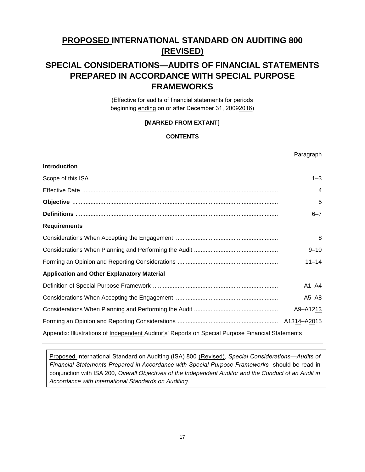# **PROPOSED INTERNATIONAL STANDARD ON AUDITING 800 (REVISED)**

# **SPECIAL CONSIDERATIONS—AUDITS OF FINANCIAL STATEMENTS PREPARED IN ACCORDANCE WITH SPECIAL PURPOSE FRAMEWORKS**

(Effective for audits of financial statements for periods beginning ending on or after December 31, 20092016)

#### **[MARKED FROM EXTANT]**

#### **CONTENTS**

|                                                                                                   | Paragraph |
|---------------------------------------------------------------------------------------------------|-----------|
| <b>Introduction</b>                                                                               |           |
|                                                                                                   | $1 - 3$   |
|                                                                                                   | 4         |
|                                                                                                   | 5         |
|                                                                                                   | $6 - 7$   |
| <b>Requirements</b>                                                                               |           |
|                                                                                                   | 8         |
|                                                                                                   | $9 - 10$  |
|                                                                                                   | $11 - 14$ |
| <b>Application and Other Explanatory Material</b>                                                 |           |
|                                                                                                   | $A1 - A4$ |
|                                                                                                   | $A5 - A8$ |
|                                                                                                   | A9-A1213  |
|                                                                                                   |           |
| Appendix: Illustrations of Independent Auditor's' Reports on Special Purpose Financial Statements |           |

Proposed International Standard on Auditing (ISA) 800 (Revised), *Special Considerations—Audits of Financial Statements Prepared in Accordance with Special Purpose Frameworks*, should be read in conjunction with ISA 200, *Overall Objectives of the Independent Auditor and the Conduct of an Audit in Accordance with International Standards on Auditing*.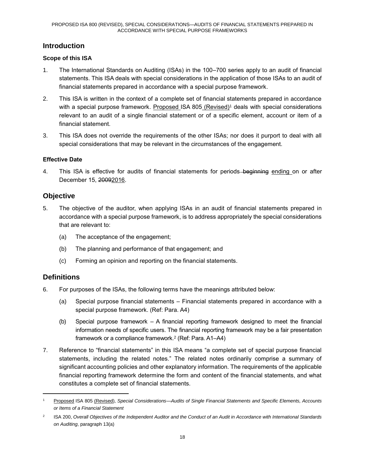## **Introduction**

#### **Scope of this ISA**

- 1. The International Standards on Auditing (ISAs) in the 100–700 series apply to an audit of financial statements. This ISA deals with special considerations in the application of those ISAs to an audit of financial statements prepared in accordance with a special purpose framework.
- 2. This ISA is written in the context of a complete set of financial statements prepared in accordance with a special purpose framework. Proposed ISA 805 (Revised)<sup>1</sup> deals with special considerations relevant to an audit of a single financial statement or of a specific element, account or item of a financial statement.
- 3. This ISA does not override the requirements of the other ISAs; nor does it purport to deal with all special considerations that may be relevant in the circumstances of the engagement.

#### **Effective Date**

4. This ISA is effective for audits of financial statements for periods–beginning ending on or after December 15, 20092016.

## **Objective**

- 5. The objective of the auditor, when applying ISAs in an audit of financial statements prepared in accordance with a special purpose framework, is to address appropriately the special considerations that are relevant to:
	- (a) The acceptance of the engagement;
	- (b) The planning and performance of that engagement; and
	- (c) Forming an opinion and reporting on the financial statements.

## **Definitions**

- 6. For purposes of the ISAs, the following terms have the meanings attributed below:
	- (a) Special purpose financial statements Financial statements prepared in accordance with a special purpose framework. (Ref: Para. A4)
	- (b) Special purpose framework A financial reporting framework designed to meet the financial information needs of specific users. The financial reporting framework may be a fair presentation framework or a compliance framework.<sup>2</sup> (Ref: Para. A1–A4)
- 7. Reference to "financial statements" in this ISA means "a complete set of special purpose financial statements, including the related notes." The related notes ordinarily comprise a summary of significant accounting policies and other explanatory information. The requirements of the applicable financial reporting framework determine the form and content of the financial statements, and what constitutes a complete set of financial statements.

<sup>1</sup> Proposed ISA 805 (Revised), *Special Considerations—Audits of Single Financial Statements and Specific Elements, Accounts or Items of a Financial Statement*

<sup>2</sup> ISA 200, *Overall Objectives of the Independent Auditor and the Conduct of an Audit in Accordance with International Standards on Auditing*, paragraph 13(a)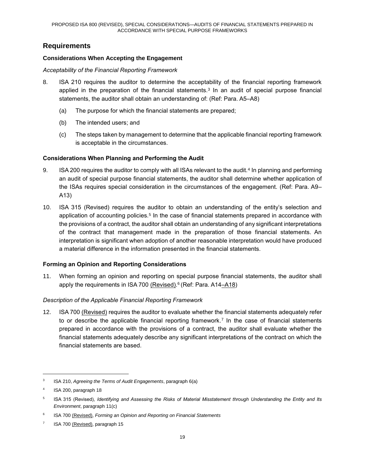## **Requirements**

#### **Considerations When Accepting the Engagement**

#### *Acceptability of the Financial Reporting Framework*

- 8. ISA 210 requires the auditor to determine the acceptability of the financial reporting framework applied in the preparation of the financial statements.<sup>3</sup> In an audit of special purpose financial statements, the auditor shall obtain an understanding of: (Ref: Para. A5–A8)
	- (a) The purpose for which the financial statements are prepared;
	- (b) The intended users; and
	- (c) The steps taken by management to determine that the applicable financial reporting framework is acceptable in the circumstances.

#### **Considerations When Planning and Performing the Audit**

- 9. ISA 200 requires the auditor to comply with all ISAs relevant to the audit.<sup>4</sup> In planning and performing an audit of special purpose financial statements, the auditor shall determine whether application of the ISAs requires special consideration in the circumstances of the engagement. (Ref: Para. A9– A13)
- 10. ISA 315 (Revised) requires the auditor to obtain an understanding of the entity's selection and application of accounting policies.<sup>5</sup> In the case of financial statements prepared in accordance with the provisions of a contract, the auditor shall obtain an understanding of any significant interpretations of the contract that management made in the preparation of those financial statements. An interpretation is significant when adoption of another reasonable interpretation would have produced a material difference in the information presented in the financial statements.

#### **Forming an Opinion and Reporting Considerations**

11. When forming an opinion and reporting on special purpose financial statements, the auditor shall apply the requirements in ISA 700 (Revised).<sup>6</sup> (Ref: Para. A14–A18)

#### *Description of the Applicable Financial Reporting Framework*

12. ISA 700 (Revised) requires the auditor to evaluate whether the financial statements adequately refer to or describe the applicable financial reporting framework.<sup>7</sup> In the case of financial statements prepared in accordance with the provisions of a contract, the auditor shall evaluate whether the financial statements adequately describe any significant interpretations of the contract on which the financial statements are based.

<sup>3</sup> ISA 210, *Agreeing the Terms of Audit Engagements*, paragraph 6(a)

<sup>4</sup> ISA 200, paragraph 18

<sup>5</sup> ISA 315 (Revised), *Identifying and Assessing the Risks of Material Misstatement through Understanding the Entity and Its Environment*, paragraph 11(c)

<sup>6</sup> ISA 700 (Revised), *Forming an Opinion and Reporting on Financial Statements*

<sup>7</sup> ISA 700 (Revised), paragraph 15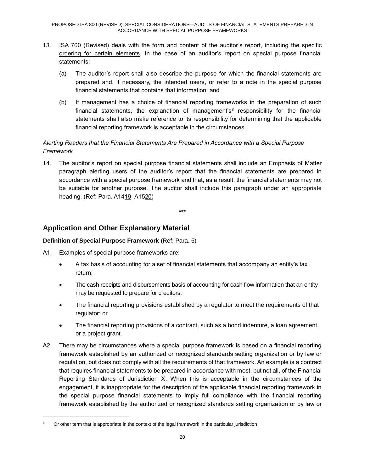- 13. ISA 700 (Revised) deals with the form and content of the auditor's report, including the specific ordering for certain elements. In the case of an auditor's report on special purpose financial statements:
	- (a) The auditor's report shall also describe the purpose for which the financial statements are prepared and, if necessary, the intended users, or refer to a note in the special purpose financial statements that contains that information; and
	- (b) If management has a choice of financial reporting frameworks in the preparation of such financial statements, the explanation of management's $8$  responsibility for the financial statements shall also make reference to its responsibility for determining that the applicable financial reporting framework is acceptable in the circumstances.

## *Alerting Readers that the Financial Statements Are Prepared in Accordance with a Special Purpose Framework*

14. The auditor's report on special purpose financial statements shall include an Emphasis of Matter paragraph alerting users of the auditor's report that the financial statements are prepared in accordance with a special purpose framework and that, as a result, the financial statements may not be suitable for another purpose. The auditor shall include this paragraph under an appropriate heading. (Ref: Para. A1419–A1520)

**\*\*\***

## **Application and Other Explanatory Material**

#### **Definition of Special Purpose Framework** (Ref: Para. 6)

A1. Examples of special purpose frameworks are:

- A tax basis of accounting for a set of financial statements that accompany an entity's tax return;
- The cash receipts and disbursements basis of accounting for cash flow information that an entity may be requested to prepare for creditors;
- The financial reporting provisions established by a regulator to meet the requirements of that regulator; or
- The financial reporting provisions of a contract, such as a bond indenture, a loan agreement, or a project grant.
- A2. There may be circumstances where a special purpose framework is based on a financial reporting framework established by an authorized or recognized standards setting organization or by law or regulation, but does not comply with all the requirements of that framework. An example is a contract that requires financial statements to be prepared in accordance with most, but not all, of the Financial Reporting Standards of Jurisdiction X. When this is acceptable in the circumstances of the engagement, it is inappropriate for the description of the applicable financial reporting framework in the special purpose financial statements to imply full compliance with the financial reporting framework established by the authorized or recognized standards setting organization or by law or

<sup>8</sup> Or other term that is appropriate in the context of the legal framework in the particular jurisdiction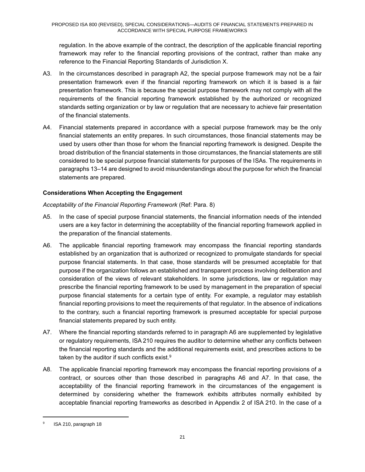regulation. In the above example of the contract, the description of the applicable financial reporting framework may refer to the financial reporting provisions of the contract, rather than make any reference to the Financial Reporting Standards of Jurisdiction X.

- A3. In the circumstances described in paragraph A2, the special purpose framework may not be a fair presentation framework even if the financial reporting framework on which it is based is a fair presentation framework. This is because the special purpose framework may not comply with all the requirements of the financial reporting framework established by the authorized or recognized standards setting organization or by law or regulation that are necessary to achieve fair presentation of the financial statements.
- A4. Financial statements prepared in accordance with a special purpose framework may be the only financial statements an entity prepares. In such circumstances, those financial statements may be used by users other than those for whom the financial reporting framework is designed. Despite the broad distribution of the financial statements in those circumstances, the financial statements are still considered to be special purpose financial statements for purposes of the ISAs. The requirements in paragraphs 13–14 are designed to avoid misunderstandings about the purpose for which the financial statements are prepared.

#### **Considerations When Accepting the Engagement**

#### *Acceptability of the Financial Reporting Framework* (Ref: Para. 8)

- A5. In the case of special purpose financial statements, the financial information needs of the intended users are a key factor in determining the acceptability of the financial reporting framework applied in the preparation of the financial statements.
- A6. The applicable financial reporting framework may encompass the financial reporting standards established by an organization that is authorized or recognized to promulgate standards for special purpose financial statements. In that case, those standards will be presumed acceptable for that purpose if the organization follows an established and transparent process involving deliberation and consideration of the views of relevant stakeholders. In some jurisdictions, law or regulation may prescribe the financial reporting framework to be used by management in the preparation of special purpose financial statements for a certain type of entity. For example, a regulator may establish financial reporting provisions to meet the requirements of that regulator. In the absence of indications to the contrary, such a financial reporting framework is presumed acceptable for special purpose financial statements prepared by such entity.
- A7. Where the financial reporting standards referred to in paragraph A6 are supplemented by legislative or regulatory requirements, ISA 210 requires the auditor to determine whether any conflicts between the financial reporting standards and the additional requirements exist, and prescribes actions to be taken by the auditor if such conflicts exist.<sup>9</sup>
- A8. The applicable financial reporting framework may encompass the financial reporting provisions of a contract, or sources other than those described in paragraphs A6 and A7. In that case, the acceptability of the financial reporting framework in the circumstances of the engagement is determined by considering whether the framework exhibits attributes normally exhibited by acceptable financial reporting frameworks as described in Appendix 2 of ISA 210. In the case of a

<sup>9</sup> ISA 210, paragraph 18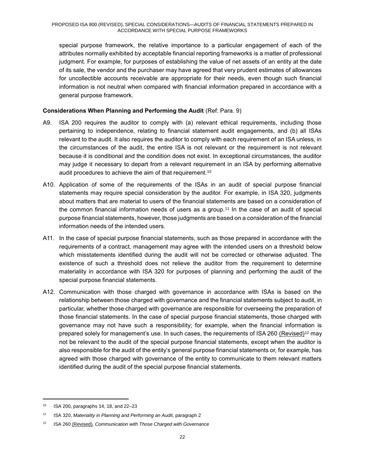special purpose framework, the relative importance to a particular engagement of each of the attributes normally exhibited by acceptable financial reporting frameworks is a matter of professional judgment. For example, for purposes of establishing the value of net assets of an entity at the date of its sale, the vendor and the purchaser may have agreed that very prudent estimates of allowances for uncollectible accounts receivable are appropriate for their needs, even though such financial information is not neutral when compared with financial information prepared in accordance with a general purpose framework.

#### **Considerations When Planning and Performing the Audit** (Ref: Para. 9)

- A9. ISA 200 requires the auditor to comply with (a) relevant ethical requirements, including those pertaining to independence, relating to financial statement audit engagements, and (b) all ISAs relevant to the audit. It also requires the auditor to comply with each requirement of an ISA unless, in the circumstances of the audit, the entire ISA is not relevant or the requirement is not relevant because it is conditional and the condition does not exist. In exceptional circumstances, the auditor may judge it necessary to depart from a relevant requirement in an ISA by performing alternative audit procedures to achieve the aim of that requirement.<sup>10</sup>
- A10. Application of some of the requirements of the ISAs in an audit of special purpose financial statements may require special consideration by the auditor. For example, in ISA 320, judgments about matters that are material to users of the financial statements are based on a consideration of the common financial information needs of users as a group.<sup>11</sup> In the case of an audit of special purpose financial statements, however, those judgments are based on a consideration of the financial information needs of the intended users.
- A11. In the case of special purpose financial statements, such as those prepared in accordance with the requirements of a contract, management may agree with the intended users on a threshold below which misstatements identified during the audit will not be corrected or otherwise adjusted. The existence of such a threshold does not relieve the auditor from the requirement to determine materiality in accordance with ISA 320 for purposes of planning and performing the audit of the special purpose financial statements.
- A12. Communication with those charged with governance in accordance with ISAs is based on the relationship between those charged with governance and the financial statements subject to audit, in particular, whether those charged with governance are responsible for overseeing the preparation of those financial statements. In the case of special purpose financial statements, those charged with governance may not have such a responsibility; for example, when the financial information is prepared solely for management's use. In such cases, the requirements of ISA 260 (Revised)<sup>12</sup> may not be relevant to the audit of the special purpose financial statements, except when the auditor is also responsible for the audit of the entity's general purpose financial statements or, for example, has agreed with those charged with governance of the entity to communicate to them relevant matters identified during the audit of the special purpose financial statements.

<sup>10</sup> ISA 200, paragraphs 14, 18, and 22–23

<sup>11</sup> ISA 320, *Materiality in Planning and Performing an Audit*, paragraph 2

<sup>12</sup> ISA 260 (Revised), *Communication with Those Charged with Governance*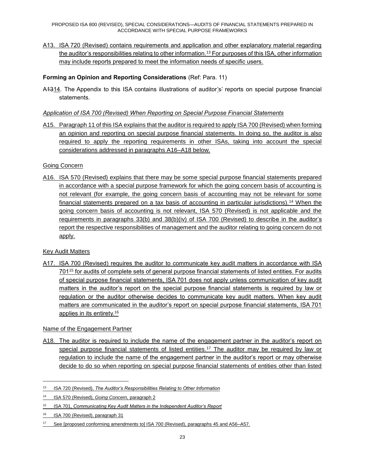PROPOSED ISA 800 (REVISED), SPECIAL CONSIDERATIONS—AUDITS OF FINANCIAL STATEMENTS PREPARED IN ACCORDANCE WITH SPECIAL PURPOSE FRAMEWORKS

A13. ISA 720 (Revised) contains requirements and application and other explanatory material regarding the auditor's responsibilities relating to other information.<sup>13</sup> For purposes of this ISA, other information may include reports prepared to meet the information needs of specific users.

#### **Forming an Opinion and Reporting Considerations** (Ref: Para. 11)

A1314. The Appendix to this ISA contains illustrations of auditor's' reports on special purpose financial statements.

#### *Application of ISA 700 (Revised) When Reporting on Special Purpose Financial Statements*

A15. Paragraph 11 of this ISA explains that the auditor is required to apply ISA 700 (Revised) when forming an opinion and reporting on special purpose financial statements. In doing so, the auditor is also required to apply the reporting requirements in other ISAs, taking into account the special considerations addressed in paragraphs A16–A18 below.

Going Concern

A16. ISA 570 (Revised) explains that there may be some special purpose financial statements prepared in accordance with a special purpose framework for which the going concern basis of accounting is not relevant (for example, the going concern basis of accounting may not be relevant for some financial statements prepared on a tax basis of accounting in particular jurisdictions).<sup>14</sup> When the going concern basis of accounting is not relevant, ISA 570 (Revised) is not applicable and the requirements in paragraphs 33(b) and 38(b)(iv) of ISA 700 (Revised) to describe in the auditor's report the respective responsibilities of management and the auditor relating to going concern do not apply.

#### Key Audit Matters

A17. ISA 700 (Revised) requires the auditor to communicate key audit matters in accordance with ISA 701<sup>15</sup> for audits of complete sets of general purpose financial statements of listed entities. For audits of special purpose financial statements, ISA 701 does not apply unless communication of key audit matters in the auditor's report on the special purpose financial statements is required by law or regulation or the auditor otherwise decides to communicate key audit matters. When key audit matters are communicated in the auditor's report on special purpose financial statements, ISA 701 applies in its entirety.<sup>16</sup>

Name of the Engagement Partner

A18. The auditor is required to include the name of the engagement partner in the auditor's report on special purpose financial statements of listed entities.<sup>17</sup> The auditor may be required by law or regulation to include the name of the engagement partner in the auditor's report or may otherwise decide to do so when reporting on special purpose financial statements of entities other than listed

<sup>13</sup> ISA 720 (Revised), *The Auditor's Responsibilities Relating to Other Information* 

<sup>14</sup> ISA 570 (Revised), *Going Concern,* paragraph 2

<sup>15</sup> ISA 701, *Communicating Key Audit Matters in the Independent Auditor's Report*

<sup>16</sup> ISA 700 (Revised), paragraph 31

<sup>&</sup>lt;sup>17</sup> See [proposed conforming amendments to] ISA 700 (Revised), paragraphs 45 and A56–A57.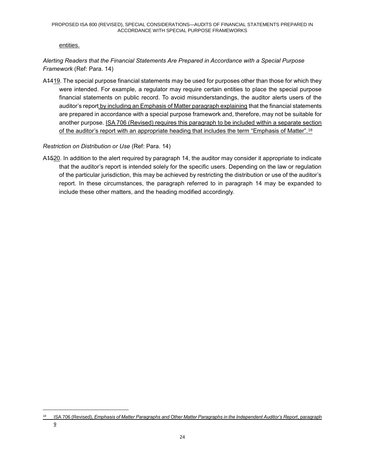#### entities.

#### *Alerting Readers that the Financial Statements Are Prepared in Accordance with a Special Purpose Framework* (Ref: Para. 14)

A1419. The special purpose financial statements may be used for purposes other than those for which they were intended. For example, a regulator may require certain entities to place the special purpose financial statements on public record. To avoid misunderstandings, the auditor alerts users of the auditor's report by including an Emphasis of Matter paragraph explaining that the financial statements are prepared in accordance with a special purpose framework and, therefore, may not be suitable for another purpose. ISA 706 (Revised) requires this paragraph to be included within a separate section of the auditor's report with an appropriate heading that includes the term "Emphasis of Matter".<sup>18</sup>

#### *Restriction on Distribution or Use* (Ref: Para. 14)

A1520. In addition to the alert required by paragraph 14, the auditor may consider it appropriate to indicate that the auditor's report is intended solely for the specific users. Depending on the law or regulation of the particular jurisdiction, this may be achieved by restricting the distribution or use of the auditor's report. In these circumstances, the paragraph referred to in paragraph 14 may be expanded to include these other matters, and the heading modified accordingly.

<sup>18</sup> ISA 706 (Revised), *Emphasis of Matter Paragraphs and Other Matter Paragraphs in the Independent Auditor's Report*, paragraph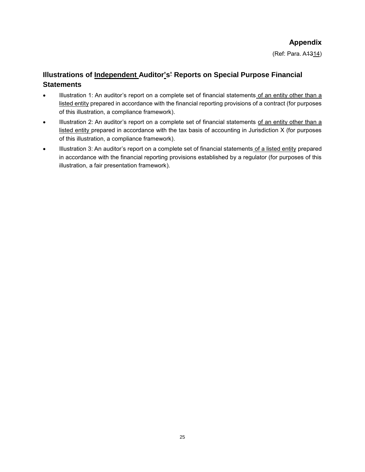## **Appendix**

(Ref: Para. A1314)

## **Illustrations of Independent Auditor's' Reports on Special Purpose Financial Statements**

- Illustration 1: An auditor's report on a complete set of financial statements of an entity other than a listed entity prepared in accordance with the financial reporting provisions of a contract (for purposes of this illustration, a compliance framework).
- Illustration 2: An auditor's report on a complete set of financial statements of an entity other than a listed entity prepared in accordance with the tax basis of accounting in Jurisdiction X (for purposes of this illustration, a compliance framework).
- Illustration 3: An auditor's report on a complete set of financial statements of a listed entity prepared in accordance with the financial reporting provisions established by a regulator (for purposes of this illustration, a fair presentation framework).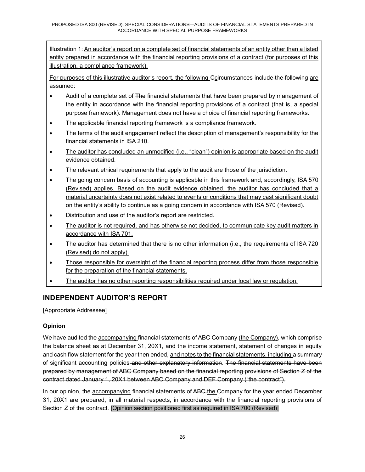Illustration 1: An auditor's report on a complete set of financial statements of an entity other than a listed entity prepared in accordance with the financial reporting provisions of a contract (for purposes of this illustration, a compliance framework).

For purposes of this illustrative auditor's report, the following Gcircumstances include the following are assumed:

- Audit of a complete set of The financial statements that have been prepared by management of the entity in accordance with the financial reporting provisions of a contract (that is, a special purpose framework). Management does not have a choice of financial reporting frameworks.
- The applicable financial reporting framework is a compliance framework.
- The terms of the audit engagement reflect the description of management's responsibility for the financial statements in ISA 210.
- The auditor has concluded an unmodified (i.e., "clean") opinion is appropriate based on the audit evidence obtained.
- The relevant ethical requirements that apply to the audit are those of the jurisdiction.
- The going concern basis of accounting is applicable in this framework and, accordingly, ISA 570 (Revised) applies. Based on the audit evidence obtained, the auditor has concluded that a material uncertainty does not exist related to events or conditions that may cast significant doubt on the entity's ability to continue as a going concern in accordance with ISA 570 (Revised).
- Distribution and use of the auditor's report are restricted.
- The auditor is not required, and has otherwise not decided, to communicate key audit matters in accordance with ISA 701.
- The auditor has determined that there is no other information (i.e., the requirements of ISA 720 (Revised) do not apply).
- Those responsible for oversight of the financial reporting process differ from those responsible for the preparation of the financial statements.
- The auditor has no other reporting responsibilities required under local law or regulation.

## **INDEPENDENT AUDITOR'S REPORT**

[Appropriate Addressee]

## **Opinion**

We have audited the accompanying financial statements of ABC Company (the Company), which comprise the balance sheet as at December 31, 20X1, and the income statement, statement of changes in equity and cash flow statement for the year then ended, and notes to the financial statements, including a summary of significant accounting policies and other explanatory information. The financial statements have been prepared by management of ABC Company based on the financial reporting provisions of Section Z of the contract dated January 1, 20X1 between ABC Company and DEF Company ("the contract").

In our opinion, the accompanying financial statements of ABC-the Company for the year ended December 31, 20X1 are prepared, in all material respects, in accordance with the financial reporting provisions of Section Z of the contract. [Opinion section positioned first as required in ISA 700 (Revised)]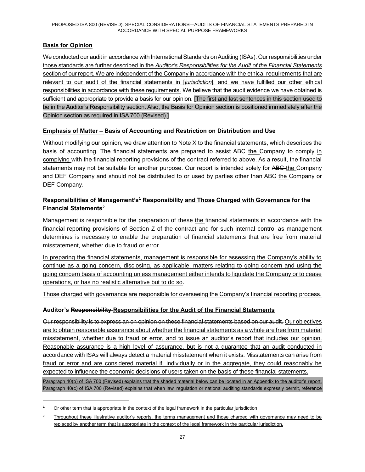## **Basis for Opinion**

l

We conducted our audit in accordance with International Standards on Auditing (ISAs). Our responsibilities under those standards are further described in the *Auditor's Responsibilities for the Audit of the Financial Statements* section of our report. We are independent of the Company in accordance with the ethical requirements that are relevant to our audit of the financial statements in [*jurisdiction*], and we have fulfilled our other ethical responsibilities in accordance with these requirements. We believe that the audit evidence we have obtained is sufficient and appropriate to provide a basis for our opinion. [The first and last sentences in this section used to be in the Auditor's Responsibility section. Also, the Basis for Opinion section is positioned immediately after the Opinion section as required in ISA 700 (Revised).]

#### **Emphasis of Matter – Basis of Accounting and Restriction on Distribution and Use**

Without modifying our opinion, we draw attention to Note X to the financial statements, which describes the basis of accounting. The financial statements are prepared to assist ABC-the Company to comply-in complying with the financial reporting provisions of the contract referred to above. As a result, the financial statements may not be suitable for another purpose. Our report is intended solely for ABC-the Company and DEF Company and should not be distributed to or used by parties other than ABC-the Company or DEF Company.

### **Responsibilities of Management's<sup>1</sup> Responsibility and Those Charged with Governance for the Financial Statements<sup>2</sup>**

Management is responsible for the preparation of these the financial statements in accordance with the financial reporting provisions of Section Z of the contract and for such internal control as management determines is necessary to enable the preparation of financial statements that are free from material misstatement, whether due to fraud or error.

In preparing the financial statements, management is responsible for assessing the Company's ability to continue as a going concern, disclosing, as applicable, matters relating to going concern and using the going concern basis of accounting unless management either intends to liquidate the Company or to cease operations, or has no realistic alternative but to do so.

Those charged with governance are responsible for overseeing the Company's financial reporting process.

#### **Auditor's Responsibility Responsibilities for the Audit of the Financial Statements**

Our responsibility is to express an on opinion on these financial statements based on our audit. Our objectives are to obtain reasonable assurance about whether the financial statements as a whole are free from material misstatement, whether due to fraud or error, and to issue an auditor's report that includes our opinion. Reasonable assurance is a high level of assurance, but is not a guarantee that an audit conducted in accordance with ISAs will always detect a material misstatement when it exists. Misstatements can arise from fraud or error and are considered material if, individually or in the aggregate, they could reasonably be expected to influence the economic decisions of users taken on the basis of these financial statements.

Paragraph 40(b) of ISA 700 (Revised) explains that the shaded material below can be located in an Appendix to the auditor's report. Paragraph 40(c) of ISA 700 (Revised) explains that when law, regulation or national auditing standards expressly permit, reference

<sup>1</sup> Or other term that is appropriate in the context of the legal framework in the particular jurisdiction

<sup>&</sup>lt;sup>2</sup> Throughout these illustrative auditor's reports, the terms management and those charged with governance may need to be replaced by another term that is appropriate in the context of the legal framework in the particular jurisdiction.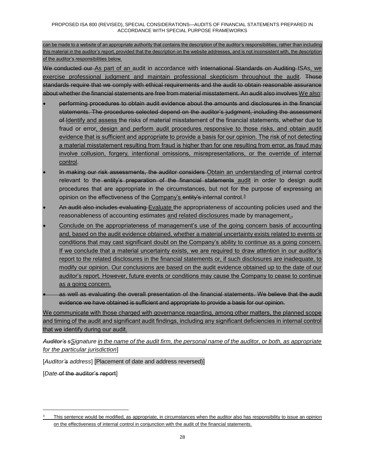can be made to a website of an appropriate authority that contains the description of the auditor's responsibilities, rather than including this material in the auditor's report, provided that the description on the website addresses, and is not inconsistent with, the description of the auditor's responsibilities below.

We conducted our As part of an audit in accordance with International Standards on Auditing ISAs, we exercise professional judgment and maintain professional skepticism throughout the audit. Those standards require that we comply with ethical requirements and the audit to obtain reasonable assurance about whether the financial statements are free from material misstatement. An audit also involves We also:

- performing procedures to obtain audit evidence about the amounts and disclosures in the financial statements. The procedures selected depend on the auditor's judgment, including the assessment of Identify and assess the risks of material misstatement of the financial statements, whether due to fraud or error, design and perform audit procedures responsive to those risks, and obtain audit evidence that is sufficient and appropriate to provide a basis for our opinion. The risk of not detecting a material misstatement resulting from fraud is higher than for one resulting from error, as fraud may involve collusion, forgery, intentional omissions, misrepresentations, or the override of internal control.
- In making our risk assessments, the auditor considers Obtain an understanding of internal control relevant to the entity's preparation of the financial statements audit in order to design audit procedures that are appropriate in the circumstances, but not for the purpose of expressing an opinion on the effectiveness of the Company's entity's internal control.<sup>3</sup>
- An audit also includes evaluating Evaluate the appropriateness of accounting policies used and the reasonableness of accounting estimates and related disclosures made by management $_{.5}$
- Conclude on the appropriateness of management's use of the going concern basis of accounting and, based on the audit evidence obtained, whether a material uncertainty exists related to events or conditions that may cast significant doubt on the Company's ability to continue as a going concern. If we conclude that a material uncertainty exists, we are required to draw attention in our auditor's report to the related disclosures in the financial statements or, if such disclosures are inadequate, to modify our opinion. Our conclusions are based on the audit evidence obtained up to the date of our auditor's report. However, future events or conditions may cause the Company to cease to continue as a going concern.
	- as well as evaluating the overall presentation of the financial statements. We believe that the audit evidence we have obtained is sufficient and appropriate to provide a basis for our opinion.

We communicate with those charged with governance regarding, among other matters, the planned scope and timing of the audit and significant audit findings, including any significant deficiencies in internal control that we identify during our audit.

*Auditor's sSignature in the name of the audit firm, the personal name of the auditor, or both, as appropriate for the particular jurisdiction*]

[*Auditor's address*] [Placement of date and address reversed)]

[*Date* of the auditor's report]

This sentence would be modified, as appropriate, in circumstances when the auditor also has responsibility to issue an opinion on the effectiveness of internal control in conjunction with the audit of the financial statements.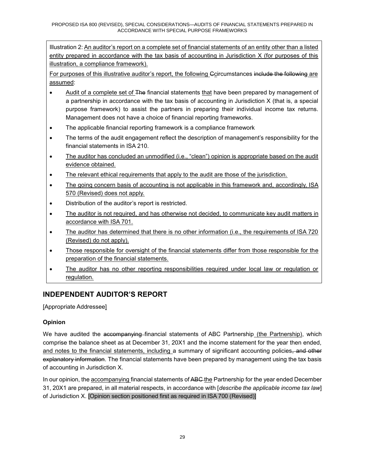Illustration 2: An auditor's report on a complete set of financial statements of an entity other than a listed entity prepared in accordance with the tax basis of accounting in Jurisdiction X (for purposes of this illustration, a compliance framework).

For purposes of this illustrative auditor's report, the following Gcircumstances include the following are assumed:

- Audit of a complete set of The financial statements that have been prepared by management of a partnership in accordance with the tax basis of accounting in Jurisdiction X (that is, a special purpose framework) to assist the partners in preparing their individual income tax returns. Management does not have a choice of financial reporting frameworks.
- The applicable financial reporting framework is a compliance framework
- The terms of the audit engagement reflect the description of management's responsibility for the financial statements in ISA 210.
- The auditor has concluded an unmodified (i.e., "clean") opinion is appropriate based on the audit evidence obtained.
- The relevant ethical requirements that apply to the audit are those of the jurisdiction.
- The going concern basis of accounting is not applicable in this framework and, accordingly, ISA 570 (Revised) does not apply.
- Distribution of the auditor's report is restricted.
- The auditor is not required, and has otherwise not decided, to communicate key audit matters in accordance with ISA 701.
- The auditor has determined that there is no other information (i.e., the requirements of ISA 720 (Revised) do not apply).
- Those responsible for oversight of the financial statements differ from those responsible for the preparation of the financial statements.
- The auditor has no other reporting responsibilities required under local law or regulation or regulation.

# **INDEPENDENT AUDITOR'S REPORT**

[Appropriate Addressee]

## **Opinion**

We have audited the accompanying-financial statements of ABC Partnership (the Partnership), which comprise the balance sheet as at December 31, 20X1 and the income statement for the year then ended, and notes to the financial statements, including a summary of significant accounting policies, and other explanatory information. The financial statements have been prepared by management using the tax basis of accounting in Jurisdiction X.

In our opinion, the accompanying financial statements of ABC-the Partnership for the year ended December 31, 20X1 are prepared, in all material respects, in accordance with [*describe the applicable income tax law*] of Jurisdiction X. [Opinion section positioned first as required in ISA 700 (Revised)]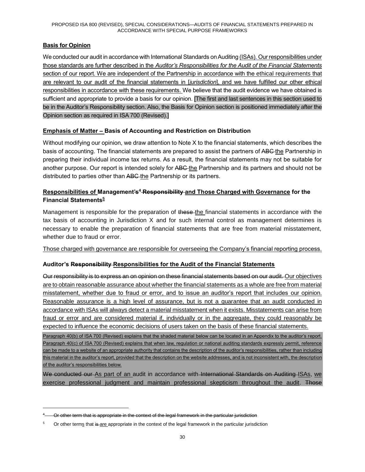#### **Basis for Opinion**

l

We conducted our audit in accordance with International Standards on Auditing (ISAs). Our responsibilities under those standards are further described in the *Auditor's Responsibilities for the Audit of the Financial Statements* section of our report. We are independent of the Partnership in accordance with the ethical requirements that are relevant to our audit of the financial statements in [*jurisdiction*], and we have fulfilled our other ethical responsibilities in accordance with these requirements. We believe that the audit evidence we have obtained is sufficient and appropriate to provide a basis for our opinion. [The first and last sentences in this section used to be in the Auditor's Responsibility section. Also, the Basis for Opinion section is positioned immediately after the Opinion section as required in ISA 700 (Revised).]

#### **Emphasis of Matter – Basis of Accounting and Restriction on Distribution**

Without modifying our opinion, we draw attention to Note X to the financial statements, which describes the basis of accounting. The financial statements are prepared to assist the partners of ABC the Partnership in preparing their individual income tax returns. As a result, the financial statements may not be suitable for another purpose. Our report is intended solely for ABC-the Partnership and its partners and should not be distributed to parties other than ABC-the Partnership or its partners.

#### **Responsibilities of Management's<sup>4</sup> Responsibility and Those Charged with Governance for the Financial Statements<sup>5</sup>**

Management is responsible for the preparation of these the financial statements in accordance with the tax basis of accounting in Jurisdiction X and for such internal control as management determines is necessary to enable the preparation of financial statements that are free from material misstatement, whether due to fraud or error.

Those charged with governance are responsible for overseeing the Company's financial reporting process.

#### **Auditor's Responsibility Responsibilities for the Audit of the Financial Statements**

Our responsibility is to express an on opinion on these financial statements based on our audit. Our objectives are to obtain reasonable assurance about whether the financial statements as a whole are free from material misstatement, whether due to fraud or error, and to issue an auditor's report that includes our opinion. Reasonable assurance is a high level of assurance, but is not a guarantee that an audit conducted in accordance with ISAs will always detect a material misstatement when it exists. Misstatements can arise from fraud or error and are considered material if, individually or in the aggregate, they could reasonably be expected to influence the economic decisions of users taken on the basis of these financial statements.

Paragraph 40(b) of ISA 700 (Revised) explains that the shaded material below can be located in an Appendix to the auditor's report. Paragraph 40(c) of ISA 700 (Revised) explains that when law, regulation or national auditing standards expressly permit, reference can be made to a website of an appropriate authority that contains the description of the auditor's responsibilities, rather than including this material in the auditor's report, provided that the description on the website addresses, and is not inconsistent with, the description of the auditor's responsibilities below.

We conducted our As part of an audit in accordance with International Standards on Auditing ISAs, we exercise professional judgment and maintain professional skepticism throughout the audit. Those

<sup>4</sup> Or other term that is appropriate in the context of the legal framework in the particular jurisdiction

Or other terms that is are appropriate in the context of the legal framework in the particular jurisdiction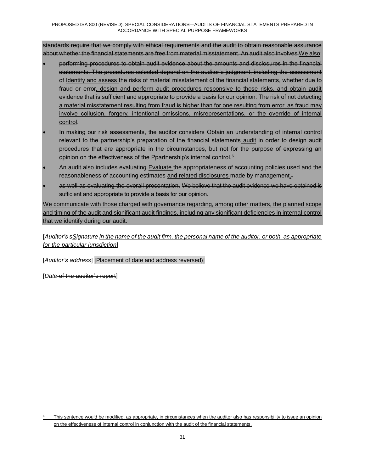standards require that we comply with ethical requirements and the audit to obtain reasonable assurance about whether the financial statements are free from material misstatement. An audit also involves We also:

- performing procedures to obtain audit evidence about the amounts and disclosures in the financial statements. The procedures selected depend on the auditor's judgment, including the assessment of Identify and assess the risks of material misstatement of the financial statements, whether due to fraud or error, design and perform audit procedures responsive to those risks, and obtain audit evidence that is sufficient and appropriate to provide a basis for our opinion. The risk of not detecting a material misstatement resulting from fraud is higher than for one resulting from error, as fraud may involve collusion, forgery, intentional omissions, misrepresentations, or the override of internal control.
- In making our risk assessments, the auditor considers Obtain an understanding of internal control relevant to the partnership's preparation of the financial statements audit in order to design audit procedures that are appropriate in the circumstances, but not for the purpose of expressing an opinion on the effectiveness of the Ppartnership's internal control.<sup>6</sup>
- An audit also includes evaluating Evaluate the appropriateness of accounting policies used and the reasonableness of accounting estimates and related disclosures made by management. $<sub>5</sub>$ </sub>
- as well as evaluating the overall presentation. We believe that the audit evidence we have obtained is sufficient and appropriate to provide a basis for our opinion.

We communicate with those charged with governance regarding, among other matters, the planned scope and timing of the audit and significant audit findings, including any significant deficiencies in internal control that we identify during our audit.

[*Auditor's sSignature in the name of the audit firm, the personal name of the auditor, or both, as appropriate for the particular jurisdiction*]

[*Auditor's address*] [Placement of date and address reversed)]

[*Date* of the auditor's report]

This sentence would be modified, as appropriate, in circumstances when the auditor also has responsibility to issue an opinion on the effectiveness of internal control in conjunction with the audit of the financial statements.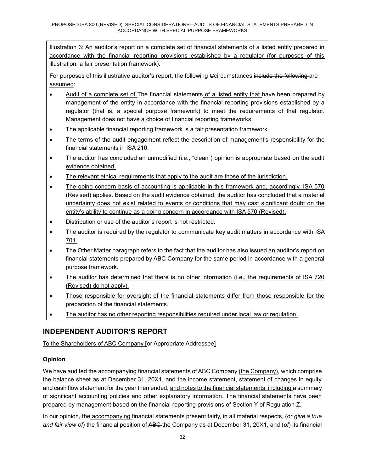Illustration 3: An auditor's report on a complete set of financial statements of a listed entity prepared in accordance with the financial reporting provisions established by a regulator (for purposes of this illustration, a fair presentation framework).

For purposes of this illustrative auditor's report, the following Gcircumstances include the following are assumed:

- Audit of a complete set of The financial statements of a listed entity that have been prepared by management of the entity in accordance with the financial reporting provisions established by a regulator (that is, a special purpose framework) to meet the requirements of that regulator. Management does not have a choice of financial reporting frameworks.
- The applicable financial reporting framework is a fair presentation framework.
- The terms of the audit engagement reflect the description of management's responsibility for the financial statements in ISA 210.
- The auditor has concluded an unmodified (i.e., "clean") opinion is appropriate based on the audit evidence obtained.
- The relevant ethical requirements that apply to the audit are those of the jurisdiction.
- The going concern basis of accounting is applicable in this framework and, accordingly, ISA 570 (Revised) applies. Based on the audit evidence obtained, the auditor has concluded that a material uncertainty does not exist related to events or conditions that may cast significant doubt on the entity's ability to continue as a going concern in accordance with ISA 570 (Revised).
- Distribution or use of the auditor's report is not restricted.
- The auditor is required by the regulator to communicate key audit matters in accordance with ISA 701.
- The Other Matter paragraph refers to the fact that the auditor has also issued an auditor's report on financial statements prepared by ABC Company for the same period in accordance with a general purpose framework.
- The auditor has determined that there is no other information (i.e., the requirements of ISA 720 (Revised) do not apply).
- Those responsible for oversight of the financial statements differ from those responsible for the preparation of the financial statements.
- The auditor has no other reporting responsibilities required under local law or regulation.

## **INDEPENDENT AUDITOR'S REPORT**

To the Shareholders of ABC Company [or Appropriate Addressee]

## **Opinion**

We have audited the accompanying financial statements of ABC Company (the Company), which comprise the balance sheet as at December 31, 20X1, and the income statement, statement of changes in equity and cash flow statement for the year then ended, and notes to the financial statements, including a summary of significant accounting policies and other explanatory information. The financial statements have been prepared by management based on the financial reporting provisions of Section Y of Regulation Z.

In our opinion, the accompanying financial statements present fairly, in all material respects, (or *give a true and fair view of*) the financial position of ABC the Company as at December 31, 20X1, and (*of*) its financial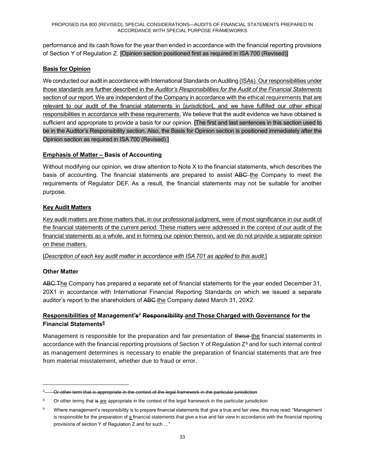performance and its cash flows for the year then ended in accordance with the financial reporting provisions of Section Y of Regulation Z. [Opinion section positioned first as required in ISA 700 (Revised)]

#### **Basis for Opinion**

We conducted our audit in accordance with International Standards on Auditing (ISAs). Our responsibilities under those standards are further described in the *Auditor's Responsibilities for the Audit of the Financial Statements* section of our report. We are independent of the Company in accordance with the ethical requirements that are relevant to our audit of the financial statements in [*jurisdiction*], and we have fulfilled our other ethical responsibilities in accordance with these requirements. We believe that the audit evidence we have obtained is sufficient and appropriate to provide a basis for our opinion. [The first and last sentences in this section used to be in the Auditor's Responsibility section. Also, the Basis for Opinion section is positioned immediately after the Opinion section as required in ISA 700 (Revised).]

#### **Emphasis of Matter – Basis of Accounting**

Without modifying our opinion, we draw attention to Note X to the financial statements, which describes the basis of accounting. The financial statements are prepared to assist ABC-the Company to meet the requirements of Regulator DEF. As a result, the financial statements may not be suitable for another purpose.

#### **Key Audit Matters**

Key audit matters are those matters that, in our professional judgment, were of most significance in our audit of the financial statements of the current period. These matters were addressed in the context of our audit of the financial statements as a whole, and in forming our opinion thereon, and we do not provide a separate opinion on these matters.

[*Description of each key audit matter in accordance with ISA 701 as applied to this audit.*]

#### **Other Matter**

l

ABC The Company has prepared a separate set of financial statements for the year ended December 31, 20X1 in accordance with International Financial Reporting Standards on which we issued a separate auditor's report to the shareholders of ABC-the Company dated March 31, 20X2.

#### **Responsibilities of Management's<sup>7</sup> Responsibility and Those Charged with Governance for the Financial Statements<sup>8</sup>**

Management is responsible for the preparation and fair presentation of these the financial statements in accordance with the financial reporting provisions of Section Y of Regulation Z<sup>9</sup> and for such internal control as management determines is necessary to enable the preparation of financial statements that are free from material misstatement, whether due to fraud or error.

<sup>7</sup> Or other term that is appropriate in the context of the legal framework in the particular jurisdiction

<sup>8</sup> Or other terms that is are appropriate in the context of the legal framework in the particular jurisdiction

<sup>9</sup> Where management's responsibility is to prepare financial statements that give a true and fair view, this may read: "Management is responsible for the preparation of a financial statements that give a true and fair view in accordance with the financial reporting provisions of section Y of Regulation Z and for such …"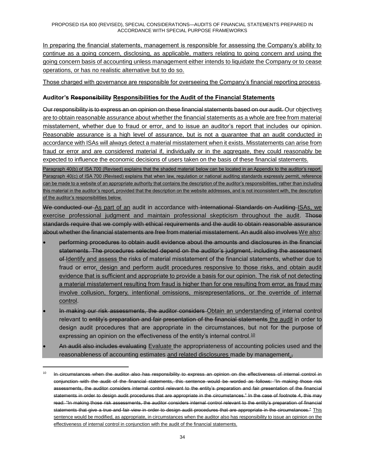In preparing the financial statements, management is responsible for assessing the Company's ability to continue as a going concern, disclosing, as applicable, matters relating to going concern and using the going concern basis of accounting unless management either intends to liquidate the Company or to cease operations, or has no realistic alternative but to do so.

Those charged with governance are responsible for overseeing the Company's financial reporting process.

#### **Auditor's Responsibility Responsibilities for the Audit of the Financial Statements**

Our responsibility is to express an on opinion on these financial statements based on our audit. Our objectives are to obtain reasonable assurance about whether the financial statements as a whole are free from material misstatement, whether due to fraud or error, and to issue an auditor's report that includes our opinion. Reasonable assurance is a high level of assurance, but is not a guarantee that an audit conducted in accordance with ISAs will always detect a material misstatement when it exists. Misstatements can arise from fraud or error and are considered material if, individually or in the aggregate, they could reasonably be expected to influence the economic decisions of users taken on the basis of these financial statements.

Paragraph 40(b) of ISA 700 (Revised) explains that the shaded material below can be located in an Appendix to the auditor's report. Paragraph 40(c) of ISA 700 (Revised) explains that when law, regulation or national auditing standards expressly permit, reference can be made to a website of an appropriate authority that contains the description of the auditor's responsibilities, rather than including this material in the auditor's report, provided that the description on the website addresses, and is not inconsistent with, the description of the auditor's responsibilities below.

We conducted our As part of an audit in accordance with International Standards on Auditing ISAs, we exercise professional judgment and maintain professional skepticism throughout the audit. Those standards require that we comply with ethical requirements and the audit to obtain reasonable assurance about whether the financial statements are free from material misstatement. An audit also involves We also:

- performing procedures to obtain audit evidence about the amounts and disclosures in the financial statements. The procedures selected depend on the auditor's judgment, including the assessment of-Identify and assess the risks of material misstatement of the financial statements, whether due to fraud or error, design and perform audit procedures responsive to those risks, and obtain audit evidence that is sufficient and appropriate to provide a basis for our opinion. The risk of not detecting a material misstatement resulting from fraud is higher than for one resulting from error, as fraud may involve collusion, forgery, intentional omissions, misrepresentations, or the override of internal control.
- In making our risk assessments, the auditor considers Obtain an understanding of internal control relevant to entity's preparation and fair presentation of the financial statements the audit in order to design audit procedures that are appropriate in the circumstances, but not for the purpose of expressing an opinion on the effectiveness of the entity's internal control.<sup>10</sup>
- An audit also includes evaluating Evaluate the appropriateness of accounting policies used and the reasonableness of accounting estimates and related disclosures made by management. $<sub>5</sub>$ </sub>

<sup>&</sup>lt;sup>10</sup> In circumstances when the auditor also has responsibility to express an opinion on the effectiveness of internal control in conjunction with the audit of the financial statements, this sentence would be worded as follows: "In making those risk assessments, the auditor considers internal control relevant to the entity's preparation and fair presentation of the financial statements in order to design audit procedures that are appropriate in the circumstances." In the case of footnote 4, this may read: "In making those risk assessments, the auditor considers internal control relevant to the entity's preparation of financial statements that give a true and fair view in order to design audit procedures that are appropriate in the circumstances." This sentence would be modified, as appropriate, in circumstances when the auditor also has responsibility to issue an opinion on the effectiveness of internal control in conjunction with the audit of the financial statements.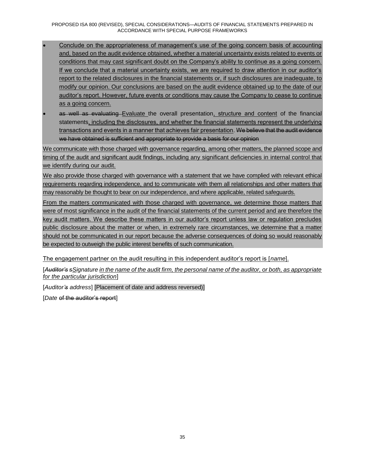- Conclude on the appropriateness of management's use of the going concern basis of accounting and, based on the audit evidence obtained, whether a material uncertainty exists related to events or conditions that may cast significant doubt on the Company's ability to continue as a going concern. If we conclude that a material uncertainty exists, we are required to draw attention in our auditor's report to the related disclosures in the financial statements or, if such disclosures are inadequate, to modify our opinion. Our conclusions are based on the audit evidence obtained up to the date of our auditor's report. However, future events or conditions may cause the Company to cease to continue as a going concern.
- as well as evaluating Evaluate the overall presentation, structure and content of the financial statements, including the disclosures, and whether the financial statements represent the underlying transactions and events in a manner that achieves fair presentation. We believe that the audit evidence we have obtained is sufficient and appropriate to provide a basis for our opinion

We communicate with those charged with governance regarding, among other matters, the planned scope and timing of the audit and significant audit findings, including any significant deficiencies in internal control that we identify during our audit.

We also provide those charged with governance with a statement that we have complied with relevant ethical requirements regarding independence, and to communicate with them all relationships and other matters that may reasonably be thought to bear on our independence, and where applicable, related safeguards.

From the matters communicated with those charged with governance, we determine those matters that were of most significance in the audit of the financial statements of the current period and are therefore the key audit matters. We describe these matters in our auditor's report unless law or regulation precludes public disclosure about the matter or when, in extremely rare circumstances, we determine that a matter should not be communicated in our report because the adverse consequences of doing so would reasonably be expected to outweigh the public interest benefits of such communication.

The engagement partner on the audit resulting in this independent auditor's report is [*name*].

[*Auditor's sSignature in the name of the audit firm, the personal name of the auditor, or both, as appropriate for the particular jurisdiction*]

[*Auditor's address*] [Placement of date and address reversed)]

[*Date* of the auditor's report]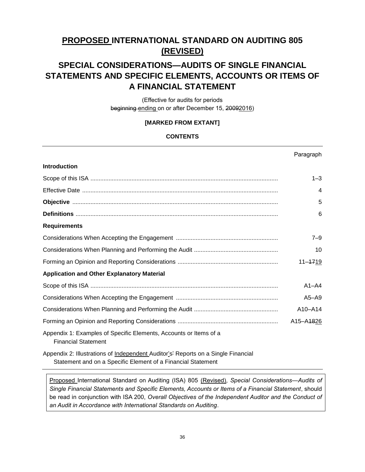# **PROPOSED INTERNATIONAL STANDARD ON AUDITING 805 (REVISED)**

# **SPECIAL CONSIDERATIONS—AUDITS OF SINGLE FINANCIAL STATEMENTS AND SPECIFIC ELEMENTS, ACCOUNTS OR ITEMS OF A FINANCIAL STATEMENT**

(Effective for audits for periods beginning ending on or after December 15, 20092016)

#### **[MARKED FROM EXTANT]**

#### **CONTENTS**

|                                                                                                                                                               | Paragraph      |
|---------------------------------------------------------------------------------------------------------------------------------------------------------------|----------------|
| <b>Introduction</b>                                                                                                                                           |                |
|                                                                                                                                                               | $1 - 3$        |
|                                                                                                                                                               | $\overline{4}$ |
|                                                                                                                                                               | 5              |
|                                                                                                                                                               | 6              |
| <b>Requirements</b>                                                                                                                                           |                |
|                                                                                                                                                               | $7 - 9$        |
|                                                                                                                                                               | 10             |
|                                                                                                                                                               | $11 - 1719$    |
| <b>Application and Other Explanatory Material</b>                                                                                                             |                |
|                                                                                                                                                               | $A1 - A4$      |
|                                                                                                                                                               | $A5 - A9$      |
|                                                                                                                                                               | A10-A14        |
|                                                                                                                                                               | A15-A4826      |
| Appendix 1: Examples of Specific Elements, Accounts or Items of a<br><b>Financial Statement</b>                                                               |                |
| Appendix 2: Illustrations of Independent Auditor's <sup>2</sup> Reports on a Single Financial<br>Statement and on a Specific Element of a Financial Statement |                |

Proposed International Standard on Auditing (ISA) 805 (Revised), *Special Considerations—Audits of Single Financial Statements and Specific Elements, Accounts or Items of a Financial Statement*, should be read in conjunction with ISA 200, *Overall Objectives of the Independent Auditor and the Conduct of an Audit in Accordance with International Standards on Auditing*.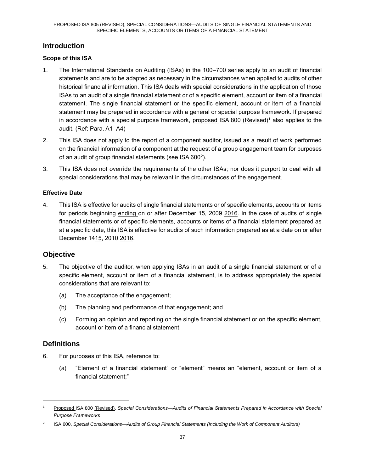## **Introduction**

#### **Scope of this ISA**

- 1. The International Standards on Auditing (ISAs) in the 100–700 series apply to an audit of financial statements and are to be adapted as necessary in the circumstances when applied to audits of other historical financial information. This ISA deals with special considerations in the application of those ISAs to an audit of a single financial statement or of a specific element, account or item of a financial statement. The single financial statement or the specific element, account or item of a financial statement may be prepared in accordance with a general or special purpose framework. If prepared in accordance with a special purpose framework, proposed ISA 800 (Revised)<sup>1</sup> also applies to the audit. (Ref: Para. A1–A4)
- 2. This ISA does not apply to the report of a component auditor, issued as a result of work performed on the financial information of a component at the request of a group engagement team for purposes of an audit of group financial statements (see ISA 600<sup>2</sup>).
- 3. This ISA does not override the requirements of the other ISAs; nor does it purport to deal with all special considerations that may be relevant in the circumstances of the engagement.

#### **Effective Date**

4. This ISA is effective for audits of single financial statements or of specific elements, accounts or items for periods beginning ending on or after December 15, 2009 2016. In the case of audits of single financial statements or of specific elements, accounts or items of a financial statement prepared as at a specific date, this ISA is effective for audits of such information prepared as at a date on or after December 4415, 2010-2016.

#### **Objective**

- 5. The objective of the auditor, when applying ISAs in an audit of a single financial statement or of a specific element, account or item of a financial statement, is to address appropriately the special considerations that are relevant to:
	- (a) The acceptance of the engagement;
	- (b) The planning and performance of that engagement; and
	- (c) Forming an opinion and reporting on the single financial statement or on the specific element, account or item of a financial statement.

## **Definitions**

- 6. For purposes of this ISA, reference to:
	- (a) "Element of a financial statement" or "element" means an "element, account or item of a financial statement;"

<sup>1</sup> Proposed ISA 800 (Revised), *Special Considerations—Audits of Financial Statements Prepared in Accordance with Special Purpose Frameworks*

<sup>2</sup> ISA 600, *Special Considerations—Audits of Group Financial Statements (Including the Work of Component Auditors)*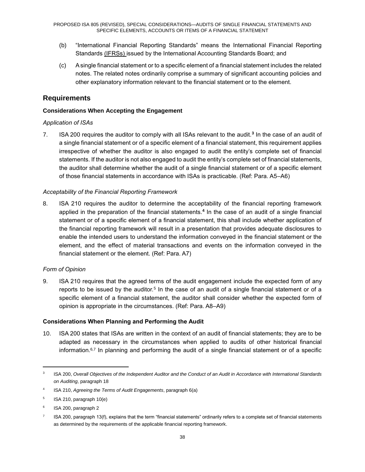- (b) "International Financial Reporting Standards" means the International Financial Reporting Standards (IFRSs) issued by the International Accounting Standards Board; and
- (c) A single financial statement or to a specific element of a financial statement includes the related notes. The related notes ordinarily comprise a summary of significant accounting policies and other explanatory information relevant to the financial statement or to the element.

## **Requirements**

#### **Considerations When Accepting the Engagement**

#### *Application of ISAs*

7. ISA 200 requires the auditor to comply with all ISAs relevant to the audit.**<sup>3</sup>** In the case of an audit of a single financial statement or of a specific element of a financial statement, this requirement applies irrespective of whether the auditor is also engaged to audit the entity's complete set of financial statements. If the auditor is not also engaged to audit the entity's complete set of financial statements, the auditor shall determine whether the audit of a single financial statement or of a specific element of those financial statements in accordance with ISAs is practicable. (Ref: Para. A5–A6)

#### *Acceptability of the Financial Reporting Framework*

8. ISA 210 requires the auditor to determine the acceptability of the financial reporting framework applied in the preparation of the financial statements.**<sup>4</sup>** In the case of an audit of a single financial statement or of a specific element of a financial statement, this shall include whether application of the financial reporting framework will result in a presentation that provides adequate disclosures to enable the intended users to understand the information conveyed in the financial statement or the element, and the effect of material transactions and events on the information conveyed in the financial statement or the element. (Ref: Para. A7)

#### *Form of Opinion*

9. ISA 210 requires that the agreed terms of the audit engagement include the expected form of any reports to be issued by the auditor.<sup>5</sup> In the case of an audit of a single financial statement or of a specific element of a financial statement, the auditor shall consider whether the expected form of opinion is appropriate in the circumstances. (Ref: Para. A8–A9)

#### **Considerations When Planning and Performing the Audit**

10. ISA 200 states that ISAs are written in the context of an audit of financial statements; they are to be adapted as necessary in the circumstances when applied to audits of other historical financial information.<sup>6,7</sup> In planning and performing the audit of a single financial statement or of a specific

<sup>3</sup> ISA 200, *Overall Objectives of the Independent Auditor and the Conduct of an Audit in Accordance with International Standards on Auditing*, paragraph 18

<sup>4</sup> ISA 210, *Agreeing the Terms of Audit Engagements*, paragraph 6(a)

<sup>5</sup> ISA 210, paragraph 10(e)

<sup>6</sup> ISA 200, paragraph 2

<sup>7</sup> ISA 200, paragraph 13(f), explains that the term "financial statements" ordinarily refers to a complete set of financial statements as determined by the requirements of the applicable financial reporting framework.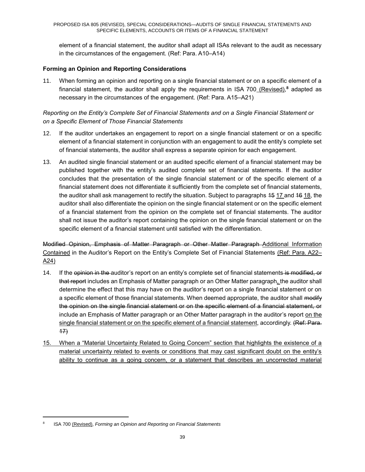element of a financial statement, the auditor shall adapt all ISAs relevant to the audit as necessary in the circumstances of the engagement. (Ref: Para. A10–A14)

#### **Forming an Opinion and Reporting Considerations**

11. When forming an opinion and reporting on a single financial statement or on a specific element of a financial statement, the auditor shall apply the requirements in ISA 700 (Revised),<sup>8</sup> adapted as necessary in the circumstances of the engagement. (Ref: Para. A15–A21)

### *Reporting on the Entity's Complete Set of Financial Statements and on a Single Financial Statement or on a Specific Element of Those Financial Statements*

- 12. If the auditor undertakes an engagement to report on a single financial statement or on a specific element of a financial statement in conjunction with an engagement to audit the entity's complete set of financial statements, the auditor shall express a separate opinion for each engagement.
- 13. An audited single financial statement or an audited specific element of a financial statement may be published together with the entity's audited complete set of financial statements. If the auditor concludes that the presentation of the single financial statement or of the specific element of a financial statement does not differentiate it sufficiently from the complete set of financial statements, the auditor shall ask management to rectify the situation. Subject to paragraphs 45 17 and 46 18, the auditor shall also differentiate the opinion on the single financial statement or on the specific element of a financial statement from the opinion on the complete set of financial statements. The auditor shall not issue the auditor's report containing the opinion on the single financial statement or on the specific element of a financial statement until satisfied with the differentiation.

Modified Opinion, Emphasis of Matter Paragraph or Other Matter Paragraph Additional Information Contained in the Auditor's Report on the Entity's Complete Set of Financial Statements (Ref: Para. A22– A24)

- 14. If the opinion in the auditor's report on an entity's complete set of financial statements is modified, or that report includes an Emphasis of Matter paragraph or an Other Matter paragraph, the auditor shall determine the effect that this may have on the auditor's report on a single financial statement or on a specific element of those financial statements. When deemed appropriate, the auditor shall modify the opinion on the single financial statement or on the specific element of a financial statement, or include an Emphasis of Matter paragraph or an Other Matter paragraph in the auditor's report on the single financial statement or on the specific element of a financial statement, accordingly. (Ref: Para.  $47)$
- 15. When a "Material Uncertainty Related to Going Concern" section that highlights the existence of a material uncertainty related to events or conditions that may cast significant doubt on the entity's ability to continue as a going concern, or a statement that describes an uncorrected material

<sup>8</sup> ISA 700 (Revised), *Forming an Opinion and Reporting on Financial Statements*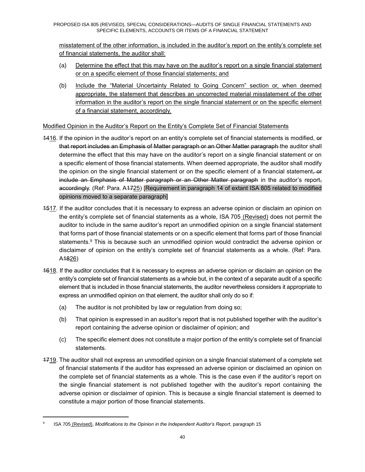misstatement of the other information, is included in the auditor's report on the entity's complete set of financial statements, the auditor shall:

- (a) Determine the effect that this may have on the auditor's report on a single financial statement or on a specific element of those financial statements; and
- (b) Include the "Material Uncertainty Related to Going Concern" section or, when deemed appropriate, the statement that describes an uncorrected material misstatement of the other information in the auditor's report on the single financial statement or on the specific element of a financial statement, accordingly.

#### Modified Opinion in the Auditor's Report on the Entity's Complete Set of Financial Statements

- 1416. If the opinion in the auditor's report on an entity's complete set of financial statements is modified, or that report includes an Emphasis of Matter paragraph or an Other Matter paragraph the auditor shall determine the effect that this may have on the auditor's report on a single financial statement or on a specific element of those financial statements. When deemed appropriate, the auditor shall modify the opinion on the single financial statement or on the specific element of a financial statement, or include an Emphasis of Matter paragraph or an Other Matter paragraph in the auditor's report, accordingly. (Ref: Para. A1725) [Requirement in paragraph 14 of extant ISA 805 related to modified opinions moved to a separate paragraph]
- 1517. If the auditor concludes that it is necessary to express an adverse opinion or disclaim an opinion on the entity's complete set of financial statements as a whole, ISA 705 (Revised) does not permit the auditor to include in the same auditor's report an unmodified opinion on a single financial statement that forms part of those financial statements or on a specific element that forms part of those financial statements.<sup>9</sup> This is because such an unmodified opinion would contradict the adverse opinion or disclaimer of opinion on the entity's complete set of financial statements as a whole. (Ref: Para. A1826)
- 1618. If the auditor concludes that it is necessary to express an adverse opinion or disclaim an opinion on the entity's complete set of financial statements as a whole but, in the context of a separate audit of a specific element that is included in those financial statements, the auditor nevertheless considers it appropriate to express an unmodified opinion on that element, the auditor shall only do so if:
	- (a) The auditor is not prohibited by law or regulation from doing so;
	- (b) That opinion is expressed in an auditor's report that is not published together with the auditor's report containing the adverse opinion or disclaimer of opinion; and
	- (c) The specific element does not constitute a major portion of the entity's complete set of financial statements.
- 1719. The auditor shall not express an unmodified opinion on a single financial statement of a complete set of financial statements if the auditor has expressed an adverse opinion or disclaimed an opinion on the complete set of financial statements as a whole. This is the case even if the auditor's report on the single financial statement is not published together with the auditor's report containing the adverse opinion or disclaimer of opinion. This is because a single financial statement is deemed to constitute a major portion of those financial statements.

<sup>9</sup> ISA 705 (Revised), *Modifications to the Opinion in the Independent Auditor's Report*, paragraph 15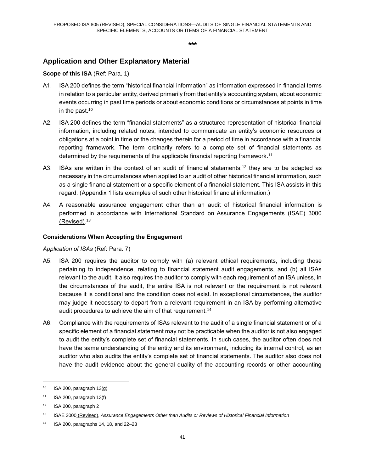**\*\*\***

## **Application and Other Explanatory Material**

#### **Scope of this ISA (Ref: Para. 1)**

- A1. ISA 200 defines the term "historical financial information" as information expressed in financial terms in relation to a particular entity, derived primarily from that entity's accounting system, about economic events occurring in past time periods or about economic conditions or circumstances at points in time in the past.<sup>10</sup>
- A2. ISA 200 defines the term "financial statements" as a structured representation of historical financial information, including related notes, intended to communicate an entity's economic resources or obligations at a point in time or the changes therein for a period of time in accordance with a financial reporting framework. The term ordinarily refers to a complete set of financial statements as determined by the requirements of the applicable financial reporting framework.<sup>11</sup>
- A3. ISAs are written in the context of an audit of financial statements;<sup>12</sup> they are to be adapted as necessary in the circumstances when applied to an audit of other historical financial information, such as a single financial statement or a specific element of a financial statement. This ISA assists in this regard. (Appendix 1 lists examples of such other historical financial information.)
- A4. A reasonable assurance engagement other than an audit of historical financial information is performed in accordance with International Standard on Assurance Engagements (ISAE) 3000 (Revised). 13

#### **Considerations When Accepting the Engagement**

#### *Application of ISAs* (Ref: Para. 7)

- A5. ISA 200 requires the auditor to comply with (a) relevant ethical requirements, including those pertaining to independence, relating to financial statement audit engagements, and (b) all ISAs relevant to the audit. It also requires the auditor to comply with each requirement of an ISA unless, in the circumstances of the audit, the entire ISA is not relevant or the requirement is not relevant because it is conditional and the condition does not exist. In exceptional circumstances, the auditor may judge it necessary to depart from a relevant requirement in an ISA by performing alternative audit procedures to achieve the aim of that requirement.<sup>14</sup>
- A6. Compliance with the requirements of ISAs relevant to the audit of a single financial statement or of a specific element of a financial statement may not be practicable when the auditor is not also engaged to audit the entity's complete set of financial statements. In such cases, the auditor often does not have the same understanding of the entity and its environment, including its internal control, as an auditor who also audits the entity's complete set of financial statements. The auditor also does not have the audit evidence about the general quality of the accounting records or other accounting

 $10$  ISA 200, paragraph 13(g)

 $11$  ISA 200, paragraph 13(f)

<sup>12</sup> ISA 200, paragraph 2

<sup>13</sup> ISAE 3000 (Revised), *Assurance Engagements Other than Audits or Reviews of Historical Financial Information*

<sup>14</sup> ISA 200, paragraphs 14, 18, and 22–23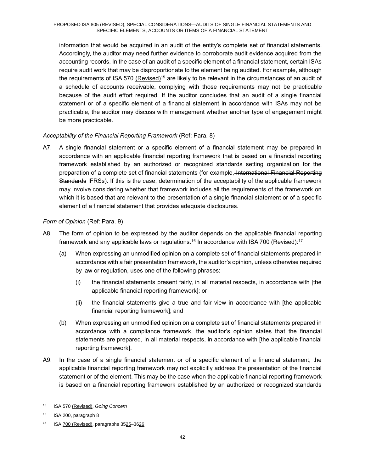information that would be acquired in an audit of the entity's complete set of financial statements. Accordingly, the auditor may need further evidence to corroborate audit evidence acquired from the accounting records. In the case of an audit of a specific element of a financial statement, certain ISAs require audit work that may be disproportionate to the element being audited. For example, although the requirements of ISA 570 (Revised)**<sup>15</sup>** are likely to be relevant in the circumstances of an audit of a schedule of accounts receivable, complying with those requirements may not be practicable because of the audit effort required. If the auditor concludes that an audit of a single financial statement or of a specific element of a financial statement in accordance with ISAs may not be practicable, the auditor may discuss with management whether another type of engagement might be more practicable.

#### *Acceptability of the Financial Reporting Framework* (Ref: Para. 8)

A7. A single financial statement or a specific element of a financial statement may be prepared in accordance with an applicable financial reporting framework that is based on a financial reporting framework established by an authorized or recognized standards setting organization for the preparation of a complete set of financial statements (for example, International Financial Reporting Standards IFRSs). If this is the case, determination of the acceptability of the applicable framework may involve considering whether that framework includes all the requirements of the framework on which it is based that are relevant to the presentation of a single financial statement or of a specific element of a financial statement that provides adequate disclosures.

#### *Form of Opinion* (Ref: Para. 9)

- A8. The form of opinion to be expressed by the auditor depends on the applicable financial reporting framework and any applicable laws or regulations.<sup>16</sup> In accordance with ISA 700 (Revised):<sup>17</sup>
	- (a) When expressing an unmodified opinion on a complete set of financial statements prepared in accordance with a fair presentation framework, the auditor's opinion, unless otherwise required by law or regulation, uses one of the following phrases:
		- (i) the financial statements present fairly, in all material respects, in accordance with [the applicable financial reporting framework]; or
		- (ii) the financial statements give a true and fair view in accordance with [the applicable financial reporting framework]; and
	- (b) When expressing an unmodified opinion on a complete set of financial statements prepared in accordance with a compliance framework, the auditor's opinion states that the financial statements are prepared, in all material respects, in accordance with [the applicable financial reporting framework].
- A9. In the case of a single financial statement or of a specific element of a financial statement, the applicable financial reporting framework may not explicitly address the presentation of the financial statement or of the element. This may be the case when the applicable financial reporting framework is based on a financial reporting framework established by an authorized or recognized standards

<sup>15</sup> ISA 570 (Revised), *Going Concern*

<sup>16</sup> ISA 200, paragraph 8

<sup>17</sup> ISA 700 (Revised), paragraphs 3525-3626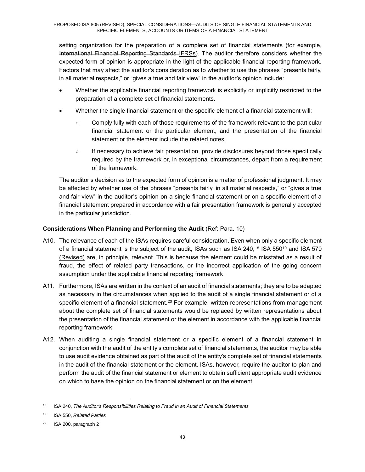setting organization for the preparation of a complete set of financial statements (for example, International Financial Reporting Standards IFRSs). The auditor therefore considers whether the expected form of opinion is appropriate in the light of the applicable financial reporting framework. Factors that may affect the auditor's consideration as to whether to use the phrases "presents fairly, in all material respects," or "gives a true and fair view" in the auditor's opinion include:

- Whether the applicable financial reporting framework is explicitly or implicitly restricted to the preparation of a complete set of financial statements.
- Whether the single financial statement or the specific element of a financial statement will:
	- Comply fully with each of those requirements of the framework relevant to the particular financial statement or the particular element, and the presentation of the financial statement or the element include the related notes.
	- If necessary to achieve fair presentation, provide disclosures beyond those specifically required by the framework or, in exceptional circumstances, depart from a requirement of the framework.

The auditor's decision as to the expected form of opinion is a matter of professional judgment. It may be affected by whether use of the phrases "presents fairly, in all material respects," or "gives a true and fair view" in the auditor's opinion on a single financial statement or on a specific element of a financial statement prepared in accordance with a fair presentation framework is generally accepted in the particular jurisdiction.

#### **Considerations When Planning and Performing the Audit** (Ref: Para. 10)

- A10. The relevance of each of the ISAs requires careful consideration. Even when only a specific element of a financial statement is the subject of the audit, ISAs such as ISA 240,<sup>18</sup> ISA 550<sup>19</sup> and ISA 570 (Revised) are, in principle, relevant. This is because the element could be misstated as a result of fraud, the effect of related party transactions, or the incorrect application of the going concern assumption under the applicable financial reporting framework.
- A11. Furthermore, ISAs are written in the context of an audit of financial statements; they are to be adapted as necessary in the circumstances when applied to the audit of a single financial statement or of a specific element of a financial statement.<sup>20</sup> For example, written representations from management about the complete set of financial statements would be replaced by written representations about the presentation of the financial statement or the element in accordance with the applicable financial reporting framework.
- A12. When auditing a single financial statement or a specific element of a financial statement in conjunction with the audit of the entity's complete set of financial statements, the auditor may be able to use audit evidence obtained as part of the audit of the entity's complete set of financial statements in the audit of the financial statement or the element. ISAs, however, require the auditor to plan and perform the audit of the financial statement or element to obtain sufficient appropriate audit evidence on which to base the opinion on the financial statement or on the element.

<sup>18</sup> ISA 240, *The Auditor's Responsibilities Relating to Fraud in an Audit of Financial Statements*

<sup>19</sup> ISA 550, *Related Parties*

<sup>20</sup> ISA 200, paragraph 2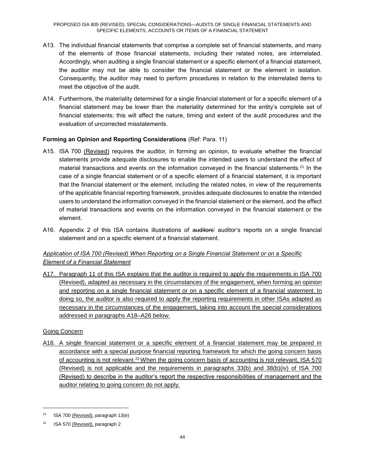- A13. The individual financial statements that comprise a complete set of financial statements, and many of the elements of those financial statements, including their related notes, are interrelated. Accordingly, when auditing a single financial statement or a specific element of a financial statement, the auditor may not be able to consider the financial statement or the element in isolation. Consequently, the auditor may need to perform procedures in relation to the interrelated items to meet the objective of the audit.
- A14. Furthermore, the materiality determined for a single financial statement or for a specific element of a financial statement may be lower than the materiality determined for the entity's complete set of financial statements; this will affect the nature, timing and extent of the audit procedures and the evaluation of uncorrected misstatements.

#### **Forming an Opinion and Reporting Considerations** (Ref: Para. 11)

- A15. ISA 700 (Revised) requires the auditor, in forming an opinion, to evaluate whether the financial statements provide adequate disclosures to enable the intended users to understand the effect of material transactions and events on the information conveyed in the financial statements.<sup>21</sup> In the case of a single financial statement or of a specific element of a financial statement, it is important that the financial statement or the element, including the related notes, in view of the requirements of the applicable financial reporting framework, provides adequate disclosures to enable the intended users to understand the information conveyed in the financial statement or the element, and the effect of material transactions and events on the information conveyed in the financial statement or the element.
- A16. Appendix 2 of this ISA contains illustrations of auditors' auditor's reports on a single financial statement and on a specific element of a financial statement.

## *Application of ISA 700 (Revised) When Reporting on a Single Financial Statement or on a Specific Element of a Financial Statement*

A17. Paragraph 11 of this ISA explains that the auditor is required to apply the requirements in ISA 700 (Revised), adapted as necessary in the circumstances of the engagement, when forming an opinion and reporting on a single financial statement or on a specific element of a financial statement. In doing so, the auditor is also required to apply the reporting requirements in other ISAs adapted as necessary in the circumstances of the engagement, taking into account the special considerations addressed in paragraphs A18–A26 below.

#### Going Concern

l

A18. A single financial statement or a specific element of a financial statement may be prepared in accordance with a special purpose financial reporting framework for which the going concern basis of accounting is not relevant.<sup>22</sup> When the going concern basis of accounting is not relevant, ISA 570 (Revised) is not applicable and the requirements in paragraphs 33(b) and 38(b)(iv) of ISA 700 (Revised) to describe in the auditor's report the respective responsibilities of management and the auditor relating to going concern do not apply.

 $21$  ISA 700 (Revised), paragraph 13(e)

<sup>22</sup> ISA 570 (Revised), paragraph 2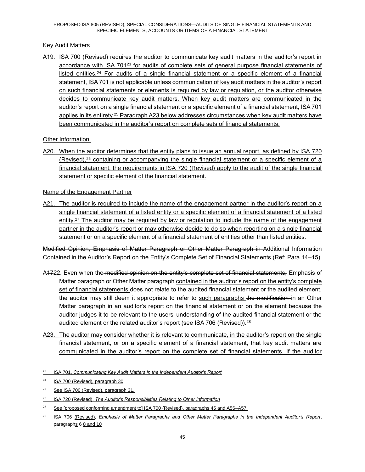#### Key Audit Matters

A19. ISA 700 (Revised) requires the auditor to communicate key audit matters in the auditor's report in accordance with ISA 701<sup>23</sup> for audits of complete sets of general purpose financial statements of listed entities.<sup>24</sup> For audits of a single financial statement or a specific element of a financial statement, ISA 701 is not applicable unless communication of key audit matters in the auditor's report on such financial statements or elements is required by law or regulation, or the auditor otherwise decides to communicate key audit matters. When key audit matters are communicated in the auditor's report on a single financial statement or a specific element of a financial statement, ISA 701 applies in its entirety.<sup>25</sup> Paragraph A23 below addresses circumstances when key audit matters have been communicated in the auditor's report on complete sets of financial statements.

#### Other Information

A20. When the auditor determines that the entity plans to issue an annual report, as defined by ISA 720  $(Revised),<sup>26</sup> containing or accompanying the single financial statement or a specific element of a$ financial statement, the requirements in ISA 720 (Revised) apply to the audit of the single financial statement or specific element of the financial statement.

Name of the Engagement Partner

A21. The auditor is required to include the name of the engagement partner in the auditor's report on a single financial statement of a listed entity or a specific element of a financial statement of a listed entity.<sup>27</sup> The auditor may be required by law or regulation to include the name of the engagement partner in the auditor's report or may otherwise decide to do so when reporting on a single financial statement or on a specific element of a financial statement of entities other than listed entities.

Modified Opinion, Emphasis of Matter Paragraph or Other Matter Paragraph in Additional Information Contained in the Auditor's Report on the Entity's Complete Set of Financial Statements (Ref: Para.14–15)

- A1722. Even when the modified opinion on the entity's complete set of financial statements. Emphasis of Matter paragraph or Other Matter paragraph contained in the auditor's report on the entity's complete set of financial statements does not relate to the audited financial statement or the audited element, the auditor may still deem it appropriate to refer to such paragraphs the modification-in an Other Matter paragraph in an auditor's report on the financial statement or on the element because the auditor judges it to be relevant to the users' understanding of the audited financial statement or the audited element or the related auditor's report (see ISA 706 (Revised)).<sup>28</sup>
- A23. The auditor may consider whether it is relevant to communicate, in the auditor's report on the single financial statement, or on a specific element of a financial statement, that key audit matters are communicated in the auditor's report on the complete set of financial statements. If the auditor

<sup>1</sup>SA 701, *Communicating Key Audit Matters in the Independent Auditor's Report* 

<sup>24</sup> ISA 700 (Revised)*,* paragraph 30

<sup>&</sup>lt;sup>25</sup> See ISA 700 (Revised), paragraph 31.

<sup>26</sup> ISA 720 (Revised), *The Auditor's Responsibilities Relating to Other Information*

<sup>&</sup>lt;sup>27</sup> See [proposed conforming amendment to] ISA 700 (Revised), paragraphs 45 and A56-A57.

<sup>28</sup> ISA 706 (Revised), *Emphasis of Matter Paragraphs and Other Matter Paragraphs in the Independent Auditor's Report*, paragraphs 6 8 and 10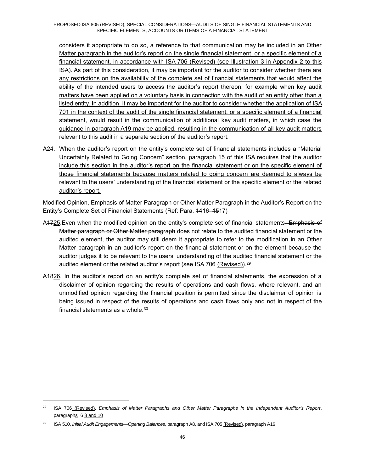considers it appropriate to do so, a reference to that communication may be included in an Other Matter paragraph in the auditor's report on the single financial statement, or a specific element of a financial statement, in accordance with ISA 706 (Revised) (see Illustration 3 in Appendix 2 to this ISA). As part of this consideration, it may be important for the auditor to consider whether there are any restrictions on the availability of the complete set of financial statements that would affect the ability of the intended users to access the auditor's report thereon, for example when key audit matters have been applied on a voluntary basis in connection with the audit of an entity other than a listed entity. In addition, it may be important for the auditor to consider whether the application of ISA 701 in the context of the audit of the single financial statement, or a specific element of a financial statement, would result in the communication of additional key audit matters, in which case the guidance in paragraph A19 may be applied, resulting in the communication of all key audit matters relevant to this audit in a separate section of the auditor's report.

A24. When the auditor's report on the entity's complete set of financial statements includes a "Material Uncertainty Related to Going Concern" section, paragraph 15 of this ISA requires that the auditor include this section in the auditor's report on the financial statement or on the specific element of those financial statements because matters related to going concern are deemed to always be relevant to the users' understanding of the financial statement or the specific element or the related auditor's report.

Modified Opinion, Emphasis of Matter Paragraph or Other Matter Paragraph in the Auditor's Report on the Entity's Complete Set of Financial Statements (Ref: Para. 1416–1517)

- A1725. Even when the modified opinion on the entity's complete set of financial statements. Emphasis of Matter paragraph or Other Matter paragraph does not relate to the audited financial statement or the audited element, the auditor may still deem it appropriate to refer to the modification in an Other Matter paragraph in an auditor's report on the financial statement or on the element because the auditor judges it to be relevant to the users' understanding of the audited financial statement or the audited element or the related auditor's report (see ISA 706 (Revised)).<sup>29</sup>
- A1826. In the auditor's report on an entity's complete set of financial statements, the expression of a disclaimer of opinion regarding the results of operations and cash flows, where relevant, and an unmodified opinion regarding the financial position is permitted since the disclaimer of opinion is being issued in respect of the results of operations and cash flows only and not in respect of the financial statements as a whole.<sup>30</sup>

<sup>29</sup> ISA 706 (Revised), *Emphasis of Matter Paragraphs and Other Matter Paragraphs in the Independent Auditor's Report*, paragraphs 6 8 and 10

<sup>30</sup> ISA 510, *Initial Audit Engagements—Opening Balances*, paragraph A8, and ISA 705 (Revised), paragraph A16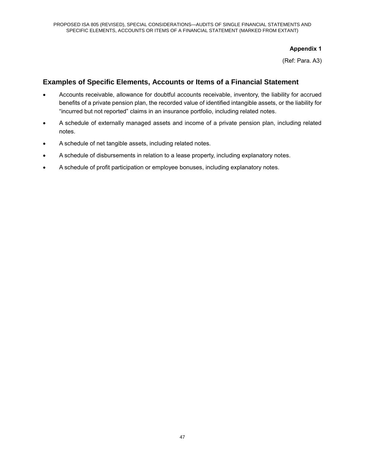#### **Appendix 1**

(Ref: Para. A3)

## **Examples of Specific Elements, Accounts or Items of a Financial Statement**

- Accounts receivable, allowance for doubtful accounts receivable, inventory, the liability for accrued benefits of a private pension plan, the recorded value of identified intangible assets, or the liability for "incurred but not reported" claims in an insurance portfolio, including related notes.
- A schedule of externally managed assets and income of a private pension plan, including related notes.
- A schedule of net tangible assets, including related notes.
- A schedule of disbursements in relation to a lease property, including explanatory notes.
- A schedule of profit participation or employee bonuses, including explanatory notes.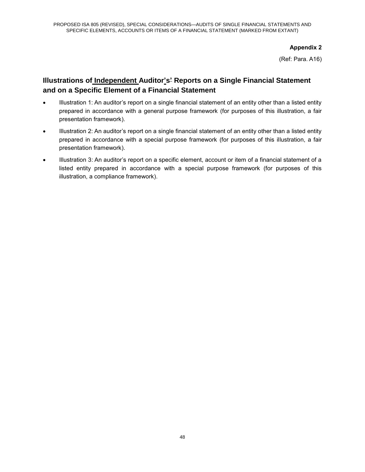#### **Appendix 2**

(Ref: Para. A16)

## **Illustrations of Independent Auditor's' Reports on a Single Financial Statement and on a Specific Element of a Financial Statement**

- Illustration 1: An auditor's report on a single financial statement of an entity other than a listed entity prepared in accordance with a general purpose framework (for purposes of this illustration, a fair presentation framework).
- Illustration 2: An auditor's report on a single financial statement of an entity other than a listed entity prepared in accordance with a special purpose framework (for purposes of this illustration, a fair presentation framework).
- Illustration 3: An auditor's report on a specific element, account or item of a financial statement of a listed entity prepared in accordance with a special purpose framework (for purposes of this illustration, a compliance framework).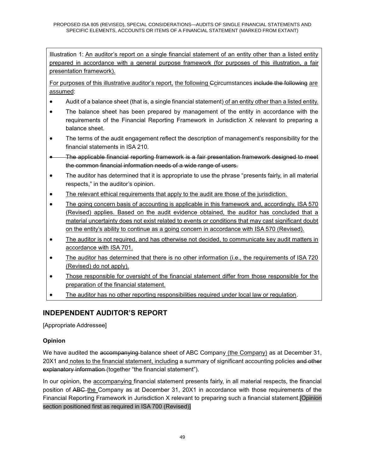Illustration 1: An auditor's report on a single financial statement of an entity other than a listed entity prepared in accordance with a general purpose framework (for purposes of this illustration, a fair presentation framework).

For purposes of this illustrative auditor's report, the following Gcircumstances include the following are assumed:

- Audit of a balance sheet (that is, a single financial statement) of an entity other than a listed entity.
- The balance sheet has been prepared by management of the entity in accordance with the requirements of the Financial Reporting Framework in Jurisdiction X relevant to preparing a balance sheet.
- The terms of the audit engagement reflect the description of management's responsibility for the financial statements in ISA 210.
- The applicable financial reporting framework is a fair presentation framework designed to meet the common financial information needs of a wide range of users.
- The auditor has determined that it is appropriate to use the phrase "presents fairly, in all material respects," in the auditor's opinion.
- The relevant ethical requirements that apply to the audit are those of the jurisdiction.
- The going concern basis of accounting is applicable in this framework and, accordingly, ISA 570 (Revised) applies. Based on the audit evidence obtained, the auditor has concluded that a material uncertainty does not exist related to events or conditions that may cast significant doubt on the entity's ability to continue as a going concern in accordance with ISA 570 (Revised).
- The auditor is not required, and has otherwise not decided, to communicate key audit matters in accordance with ISA 701.
- The auditor has determined that there is no other information (i.e., the requirements of ISA 720 (Revised) do not apply).
- Those responsible for oversight of the financial statement differ from those responsible for the preparation of the financial statement.
- The auditor has no other reporting responsibilities required under local law or regulation.

## **INDEPENDENT AUDITOR'S REPORT**

[Appropriate Addressee]

#### **Opinion**

We have audited the accompanying-balance sheet of ABC Company (the Company) as at December 31, 20X1 and notes to the financial statement, including a summary of significant accounting policies and other explanatory information (together "the financial statement").

In our opinion, the accompanying financial statement presents fairly, in all material respects, the financial position of ABC the Company as at December 31, 20X1 in accordance with those requirements of the Financial Reporting Framework in Jurisdiction X relevant to preparing such a financial statement.[Opinion section positioned first as required in ISA 700 (Revised)]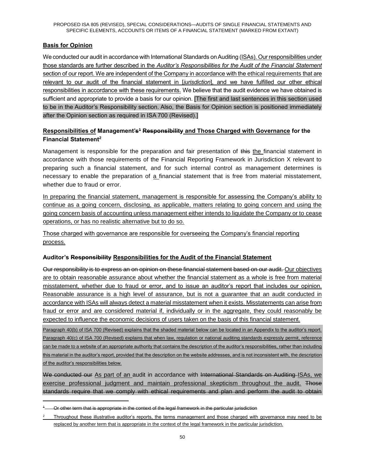#### **Basis for Opinion**

l

We conducted our audit in accordance with International Standards on Auditing (ISAs). Our responsibilities under those standards are further described in the *Auditor's Responsibilities for the Audit of the Financial Statement* section of our report. We are independent of the Company in accordance with the ethical requirements that are relevant to our audit of the financial statement in [*jurisdiction*], and we have fulfilled our other ethical responsibilities in accordance with these requirements. We believe that the audit evidence we have obtained is sufficient and appropriate to provide a basis for our opinion. [The first and last sentences in this section used to be in the Auditor's Responsibility section. Also, the Basis for Opinion section is positioned immediately after the Opinion section as required in ISA 700 (Revised).]

#### **Responsibilities of Management's<sup>1</sup> Responsibility and Those Charged with Governance for the Financial Statement<sup>2</sup>**

Management is responsible for the preparation and fair presentation of this the financial statement in accordance with those requirements of the Financial Reporting Framework in Jurisdiction X relevant to preparing such a financial statement, and for such internal control as management determines is necessary to enable the preparation of a financial statement that is free from material misstatement, whether due to fraud or error.

In preparing the financial statement, management is responsible for assessing the Company's ability to continue as a going concern, disclosing, as applicable, matters relating to going concern and using the going concern basis of accounting unless management either intends to liquidate the Company or to cease operations, or has no realistic alternative but to do so.

Those charged with governance are responsible for overseeing the Company's financial reporting process.

#### **Auditor's Responsibility Responsibilities for the Audit of the Financial Statement**

Our responsibility is to express an on opinion on these financial statement based on our audit. Our objectives are to obtain reasonable assurance about whether the financial statement as a whole is free from material misstatement, whether due to fraud or error, and to issue an auditor's report that includes our opinion. Reasonable assurance is a high level of assurance, but is not a guarantee that an audit conducted in accordance with ISAs will always detect a material misstatement when it exists. Misstatements can arise from fraud or error and are considered material if, individually or in the aggregate, they could reasonably be expected to influence the economic decisions of users taken on the basis of this financial statement.

Paragraph 40(b) of ISA 700 (Revised) explains that the shaded material below can be located in an Appendix to the auditor's report. Paragraph 40(c) of ISA 700 (Revised) explains that when law, regulation or national auditing standards expressly permit, reference can be made to a website of an appropriate authority that contains the description of the auditor's responsibilities, rather than including this material in the auditor's report, provided that the description on the website addresses, and is not inconsistent with, the description of the auditor's responsibilities below.

We conducted our As part of an audit in accordance with International Standards on Auditing ISAs, we exercise professional judgment and maintain professional skepticism throughout the audit. Those standards require that we comply with ethical requirements and plan and perform the audit to obtain

<sup>1</sup> Or other term that is appropriate in the context of the legal framework in the particular jurisdiction

<sup>&</sup>lt;sup>2</sup> Throughout these illustrative auditor's reports, the terms management and those charged with governance may need to be replaced by another term that is appropriate in the context of the legal framework in the particular jurisdiction.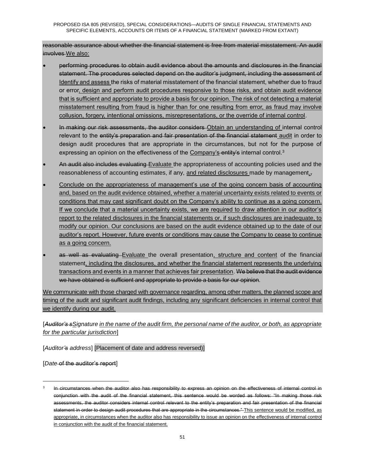reasonable assurance about whether the financial statement is free from material misstatement. An audit involves We also:

- performing procedures to obtain audit evidence about the amounts and disclosures in the financial statement. The procedures selected depend on the auditor's judgment, including the assessment of Identify and assess the risks of material misstatement of the financial statement, whether due to fraud or error, design and perform audit procedures responsive to those risks, and obtain audit evidence that is sufficient and appropriate to provide a basis for our opinion. The risk of not detecting a material misstatement resulting from fraud is higher than for one resulting from error, as fraud may involve collusion, forgery, intentional omissions, misrepresentations, or the override of internal control.
- In making our risk assessments, the auditor considers Obtain an understanding of internal control relevant to the entity's preparation and fair presentation of the financial statement audit in order to design audit procedures that are appropriate in the circumstances, but not for the purpose of expressing an opinion on the effectiveness of the Company's entity's internal control.<sup>3</sup>
- An audit also includes evaluating Evaluate the appropriateness of accounting policies used and the reasonableness of accounting estimates, if any, and related disclosures made by management. $\frac{1}{2}$
- Conclude on the appropriateness of management's use of the going concern basis of accounting and, based on the audit evidence obtained, whether a material uncertainty exists related to events or conditions that may cast significant doubt on the Company's ability to continue as a going concern. If we conclude that a material uncertainty exists, we are required to draw attention in our auditor's report to the related disclosures in the financial statements or, if such disclosures are inadequate, to modify our opinion. Our conclusions are based on the audit evidence obtained up to the date of our auditor's report. However, future events or conditions may cause the Company to cease to continue as a going concern.
- as well as evaluating Evaluate the overall presentation, structure and content of the financial statement, including the disclosures, and whether the financial statement represents the underlying transactions and events in a manner that achieves fair presentation. We believe that the audit evidence we have obtained is sufficient and appropriate to provide a basis for our opinion.

We communicate with those charged with governance regarding, among other matters, the planned scope and timing of the audit and significant audit findings, including any significant deficiencies in internal control that we identify during our audit.

[*Auditor's sSignature in the name of the audit firm, the personal name of the auditor, or both, as appropriate for the particular jurisdiction*]

[*Auditor's address*] [Placement of date and address reversed)]

[*Date* of the auditor's report]

<sup>3</sup> In circumstances when the auditor also has responsibility to express an opinion on the effectiveness of internal control in conjunction with the audit of the financial statement, this sentence would be worded as follows: "In making those assessments, the auditor considers internal control relevant to the entity's preparation and fair presentation of the financial statement in order to design audit procedures that are appropriate in the circumstances." This sentence would be modified, as appropriate, in circumstances when the auditor also has responsibility to issue an opinion on the effectiveness of internal control in conjunction with the audit of the financial statement.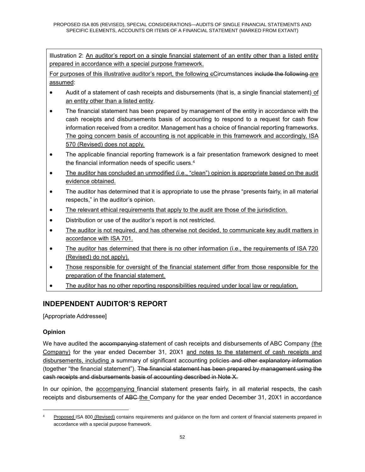Illustration 2: An auditor's report on a single financial statement of an entity other than a listed entity prepared in accordance with a special purpose framework.

For purposes of this illustrative auditor's report, the following eCircumstances include the following are assumed:

- Audit of a statement of cash receipts and disbursements (that is, a single financial statement) of an entity other than a listed entity.
- The financial statement has been prepared by management of the entity in accordance with the cash receipts and disbursements basis of accounting to respond to a request for cash flow information received from a creditor. Management has a choice of financial reporting frameworks. The going concern basis of accounting is not applicable in this framework and accordingly, ISA 570 (Revised) does not apply.
- The applicable financial reporting framework is a fair presentation framework designed to meet the financial information needs of specific users.<sup>4</sup>
- The auditor has concluded an unmodified (i.e., "clean") opinion is appropriate based on the audit evidence obtained.
- The auditor has determined that it is appropriate to use the phrase "presents fairly, in all material respects," in the auditor's opinion.
- The relevant ethical requirements that apply to the audit are those of the jurisdiction.
- Distribution or use of the auditor's report is not restricted.
- The auditor is not required, and has otherwise not decided, to communicate key audit matters in accordance with ISA 701.
- The auditor has determined that there is no other information (i.e., the requirements of ISA 720 (Revised) do not apply).
- Those responsible for oversight of the financial statement differ from those responsible for the preparation of the financial statement.
- The auditor has no other reporting responsibilities required under local law or regulation.

## **INDEPENDENT AUDITOR'S REPORT**

[Appropriate Addressee]

#### **Opinion**

l

We have audited the accompanying statement of cash receipts and disbursements of ABC Company (the Company) for the year ended December 31, 20X1 and notes to the statement of cash receipts and disbursements, including a summary of significant accounting policies-and other explanatory information (together "the financial statement"). The financial statement has been prepared by management using the cash receipts and disbursements basis of accounting described in Note X.

In our opinion, the accompanying financial statement presents fairly, in all material respects, the cash receipts and disbursements of ABC the Company for the year ended December 31, 20X1 in accordance

Proposed ISA 800 (Revised) contains requirements and guidance on the form and content of financial statements prepared in accordance with a special purpose framework.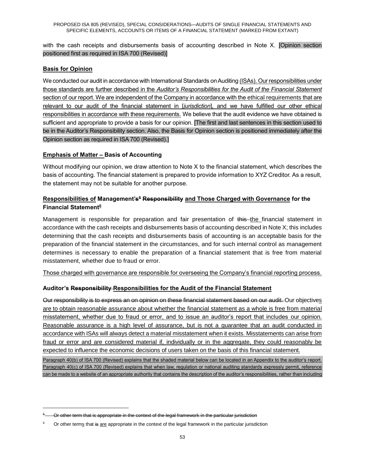with the cash receipts and disbursements basis of accounting described in Note X. [Opinion section positioned first as required in ISA 700 (Revised)]

#### **Basis for Opinion**

l

We conducted our audit in accordance with International Standards on Auditing (ISAs). Our responsibilities under those standards are further described in the *Auditor's Responsibilities for the Audit of the Financial Statement* section of our report. We are independent of the Company in accordance with the ethical requirements that are relevant to our audit of the financial statement in [*jurisdiction*], and we have fulfilled our other ethical responsibilities in accordance with these requirements. We believe that the audit evidence we have obtained is sufficient and appropriate to provide a basis for our opinion. [The first and last sentences in this section used to be in the Auditor's Responsibility section. Also, the Basis for Opinion section is positioned immediately after the Opinion section as required in ISA 700 (Revised).]

#### **Emphasis of Matter – Basis of Accounting**

Without modifying our opinion, we draw attention to Note X to the financial statement, which describes the basis of accounting. The financial statement is prepared to provide information to XYZ Creditor. As a result, the statement may not be suitable for another purpose.

#### **Responsibilities of Management's<sup>5</sup> Responsibility and Those Charged with Governance for the Financial Statement<sup>6</sup>**

Management is responsible for preparation and fair presentation of this -the financial statement in accordance with the cash receipts and disbursements basis of accounting described in Note X; this includes determining that the cash receipts and disbursements basis of accounting is an acceptable basis for the preparation of the financial statement in the circumstances, and for such internal control as management determines is necessary to enable the preparation of a financial statement that is free from material misstatement, whether due to fraud or error.

Those charged with governance are responsible for overseeing the Company's financial reporting process.

#### **Auditor's Responsibility Responsibilities for the Audit of the Financial Statement**

Our responsibility is to express an on opinion on these financial statement based on our audit. Our objectives are to obtain reasonable assurance about whether the financial statement as a whole is free from material misstatement, whether due to fraud or error, and to issue an auditor's report that includes our opinion. Reasonable assurance is a high level of assurance, but is not a guarantee that an audit conducted in accordance with ISAs will always detect a material misstatement when it exists. Misstatements can arise from fraud or error and are considered material if, individually or in the aggregate, they could reasonably be expected to influence the economic decisions of users taken on the basis of this financial statement.

Paragraph 40(b) of ISA 700 (Revised) explains that the shaded material below can be located in an Appendix to the auditor's report. Paragraph 40(c) of ISA 700 (Revised) explains that when law, regulation or national auditing standards expressly permit, reference can be made to a website of an appropriate authority that contains the description of the auditor's responsibilities, rather than including

<sup>5</sup> Or other term that is appropriate in the context of the legal framework in the particular jurisdiction

<sup>6</sup> Or other terms that is are appropriate in the context of the legal framework in the particular jurisdiction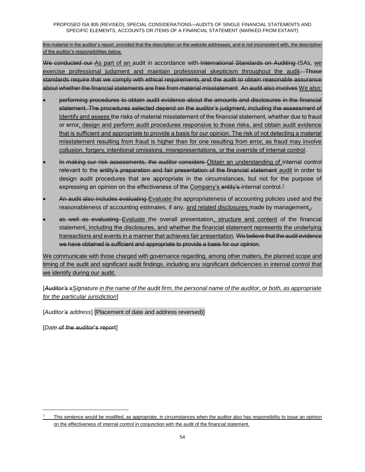this material in the auditor's report, provided that the description on the website addresses, and is not inconsistent with, the description of the auditor's responsibilities below.

We conducted our As part of an audit in accordance with International Standards on Auditing ISAs, we exercise professional judgment and maintain professional skepticism throughout the audit. Those standards require that we comply with ethical requirements and the audit to obtain reasonable assurance about whether the financial statements are free from material misstatement. An audit also involves We also:

- performing procedures to obtain audit evidence about the amounts and disclosures in the financial statement. The procedures selected depend on the auditor's judgment, including the assessment of Identify and assess the risks of material misstatement of the financial statement, whether due to fraud or error, design and perform audit procedures responsive to those risks, and obtain audit evidence that is sufficient and appropriate to provide a basis for our opinion. The risk of not detecting a material misstatement resulting from fraud is higher than for one resulting from error, as fraud may involve collusion, forgery, intentional omissions, misrepresentations, or the override of internal control.
- In making our risk assessments, the auditor considers Obtain an understanding of internal control relevant to the entity's preparation and fair presentation of the financial statement audit in order to design audit procedures that are appropriate in the circumstances, but not for the purpose of expressing an opinion on the effectiveness of the Company's entity's internal control.<sup>7</sup>
- An audit also includes evaluating Evaluate the appropriateness of accounting policies used and the reasonableness of accounting estimates, if any, and related disclosures made by management. $\frac{1}{2}$
- as well as evaluating Evaluate the overall presentation, structure and content of the financial statement, including the disclosures, and whether the financial statement represents the underlying transactions and events in a manner that achieves fair presentation. We believe that the audit evidence we have obtained is sufficient and appropriate to provide a basis for our opinion.

We communicate with those charged with governance regarding, among other matters, the planned scope and timing of the audit and significant audit findings, including any significant deficiencies in internal control that we identify during our audit.

[*Auditor's address*] [Placement of date and address reversed)]

[*Date* of the auditor's report]

<sup>[</sup>*Auditor's sSignature in the name of the audit firm, the personal name of the auditor, or both, as appropriate for the particular jurisdiction*]

<sup>7</sup> This sentence would be modified, as appropriate, in circumstances when the auditor also has responsibility to issue an opinion on the effectiveness of internal control in conjunction with the audit of the financial statement.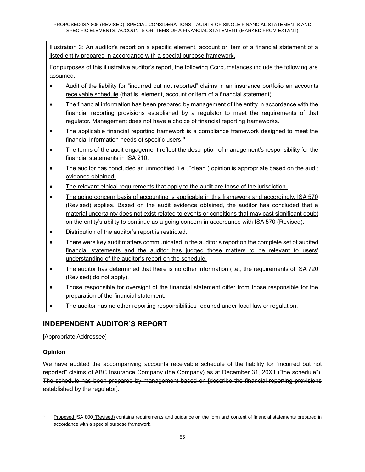Illustration 3: An auditor's report on a specific element, account or item of a financial statement of a listed entity prepared in accordance with a special purpose framework.

For purposes of this illustrative auditor's report, the following Ccircumstances include the following are assumed:

- Audit of the liability for "incurred but not reported" claims in an insurance portfolio an accounts receivable schedule (that is, element, account or item of a financial statement).
- The financial information has been prepared by management of the entity in accordance with the financial reporting provisions established by a regulator to meet the requirements of that regulator. Management does not have a choice of financial reporting frameworks.
- The applicable financial reporting framework is a compliance framework designed to meet the financial information needs of specific users.**<sup>8</sup>**
- The terms of the audit engagement reflect the description of management's responsibility for the financial statements in ISA 210.
- The auditor has concluded an unmodified (i.e., "clean") opinion is appropriate based on the audit evidence obtained.
- The relevant ethical requirements that apply to the audit are those of the jurisdiction.
- The going concern basis of accounting is applicable in this framework and accordingly, ISA 570 (Revised) applies. Based on the audit evidence obtained, the auditor has concluded that a material uncertainty does not exist related to events or conditions that may cast significant doubt on the entity's ability to continue as a going concern in accordance with ISA 570 (Revised).
- Distribution of the auditor's report is restricted.
- There were key audit matters communicated in the auditor's report on the complete set of audited financial statements and the auditor has judged those matters to be relevant to users' understanding of the auditor's report on the schedule.
- The auditor has determined that there is no other information (i.e., the requirements of ISA 720 (Revised) do not apply).
- Those responsible for oversight of the financial statement differ from those responsible for the preparation of the financial statement.
- The auditor has no other reporting responsibilities required under local law or regulation.

# **INDEPENDENT AUDITOR'S REPORT**

[Appropriate Addressee]

#### **Opinion**

l

We have audited the accompanying accounts receivable schedule of the liability for "incurred but not reported" claims of ABC Insurance Company (the Company) as at December 31, 20X1 ("the schedule"). The schedule has been prepared by management based on [describe the financial reporting provisions established by the regulator].

<sup>8</sup> Proposed ISA 800 (Revised) contains requirements and guidance on the form and content of financial statements prepared in accordance with a special purpose framework.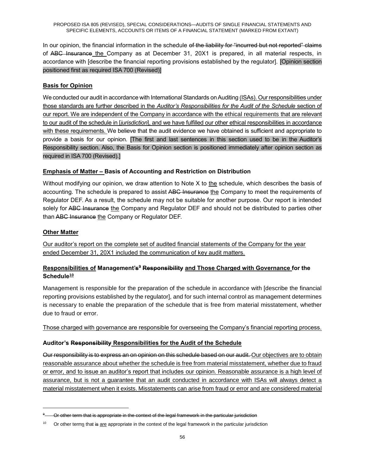In our opinion, the financial information in the schedule of the liability for "incurred but not reported" claims of ABC Insurance the Company as at December 31, 20X1 is prepared, in all material respects, in accordance with [describe the financial reporting provisions established by the regulator]. [Opinion section positioned first as required ISA 700 (Revised)]

### **Basis for Opinion**

We conducted our audit in accordance with International Standards on Auditing (ISAs). Our responsibilities under those standards are further described in the *Auditor's Responsibilities for the Audit of the Schedule* section of our report. We are independent of the Company in accordance with the ethical requirements that are relevant to our audit of the schedule in [*jurisdiction*], and we have fulfilled our other ethical responsibilities in accordance with these requirements. We believe that the audit evidence we have obtained is sufficient and appropriate to provide a basis for our opinion. [The first and last sentences in this section used to be in the Auditor's Responsibility section. Also, the Basis for Opinion section is positioned immediately after opinion section as required in ISA 700 (Revised).]

#### **Emphasis of Matter – Basis of Accounting and Restriction on Distribution**

Without modifying our opinion, we draw attention to Note X to the schedule, which describes the basis of accounting. The schedule is prepared to assist ABC Insurance the Company to meet the requirements of Regulator DEF. As a result, the schedule may not be suitable for another purpose. Our report is intended solely for ABC Insurance the Company and Regulator DEF and should not be distributed to parties other than ABC Insurance the Company or Regulator DEF.

#### **Other Matter**

l

Our auditor's report on the complete set of audited financial statements of the Company for the year ended December 31, 20X1 included the communication of key audit matters.

#### **Responsibilities of Management's<sup>9</sup> Responsibility and Those Charged with Governance for the Schedule<sup>10</sup>**

Management is responsible for the preparation of the schedule in accordance with [describe the financial reporting provisions established by the regulator], and for such internal control as management determines is necessary to enable the preparation of the schedule that is free from material misstatement, whether due to fraud or error.

Those charged with governance are responsible for overseeing the Company's financial reporting process.

#### **Auditor's Responsibility Responsibilities for the Audit of the Schedule**

Our responsibility is to express an on opinion on this schedule based on our audit. Our objectives are to obtain reasonable assurance about whether the schedule is free from material misstatement, whether due to fraud or error, and to issue an auditor's report that includes our opinion. Reasonable assurance is a high level of assurance, but is not a guarantee that an audit conducted in accordance with ISAs will always detect a material misstatement when it exists. Misstatements can arise from fraud or error and are considered material

<sup>9</sup> Or other term that is appropriate in the context of the legal framework in the particular jurisdiction

<sup>&</sup>lt;sup>10</sup> Or other terms that is are appropriate in the context of the legal framework in the particular jurisdiction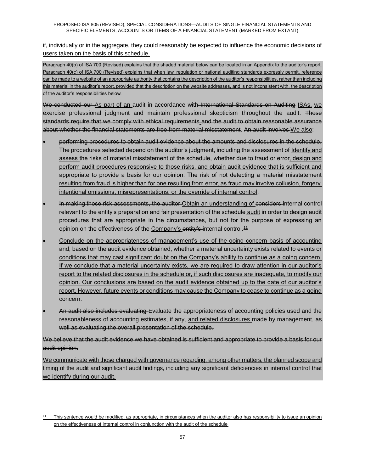#### PROPOSED ISA 805 (REVISED), SPECIAL CONSIDERATIONS—AUDITS OF SINGLE FINANCIAL STATEMENTS AND SPECIFIC ELEMENTS, ACCOUNTS OR ITEMS OF A FINANCIAL STATEMENT (MARKED FROM EXTANT)

if, individually or in the aggregate, they could reasonably be expected to influence the economic decisions of users taken on the basis of this schedule.

Paragraph 40(b) of ISA 700 (Revised) explains that the shaded material below can be located in an Appendix to the auditor's report. Paragraph 40(c) of ISA 700 (Revised) explains that when law, regulation or national auditing standards expressly permit, reference can be made to a website of an appropriate authority that contains the description of the auditor's responsibilities, rather than including this material in the auditor's report, provided that the description on the website addresses, and is not inconsistent with, the description of the auditor's responsibilities below.

We conducted our As part of an audit in accordance with International Standards on Auditing ISAs, we exercise professional judgment and maintain professional skepticism throughout the audit. Those standards require that we comply with ethical requirements and the audit to obtain reasonable assurance about whether the financial statements are free from material misstatement. An audit involves We also:

- performing procedures to obtain audit evidence about the amounts and disclosures in the schedule. The procedures selected depend on the auditor's judgment, including the assessment of Identify and assess the risks of material misstatement of the schedule, whether due to fraud or error, design and perform audit procedures responsive to those risks, and obtain audit evidence that is sufficient and appropriate to provide a basis for our opinion. The risk of not detecting a material misstatement resulting from fraud is higher than for one resulting from error, as fraud may involve collusion, forgery, intentional omissions, misrepresentations, or the override of internal control.
- In making those risk assessments, the auditor Obtain an understanding of considers internal control relevant to the entity's preparation and fair presentation of the schedule audit in order to design audit procedures that are appropriate in the circumstances, but not for the purpose of expressing an opinion on the effectiveness of the Company's entity's internal control.<sup>11</sup>
- Conclude on the appropriateness of management's use of the going concern basis of accounting and, based on the audit evidence obtained, whether a material uncertainty exists related to events or conditions that may cast significant doubt on the Company's ability to continue as a going concern. If we conclude that a material uncertainty exists, we are required to draw attention in our auditor's report to the related disclosures in the schedule or, if such disclosures are inadequate, to modify our opinion. Our conclusions are based on the audit evidence obtained up to the date of our auditor's report. However, future events or conditions may cause the Company to cease to continue as a going concern.
- An audit also includes evaluating Evaluate the appropriateness of accounting policies used and the reasonableness of accounting estimates, if any, and related disclosures made by management, as well as evaluating the overall presentation of the schedule.

We believe that the audit evidence we have obtained is sufficient and appropriate to provide a basis for our audit opinion.

We communicate with those charged with governance regarding, among other matters, the planned scope and timing of the audit and significant audit findings, including any significant deficiencies in internal control that we identify during our audit.

<sup>&</sup>lt;sup>11</sup> This sentence would be modified, as appropriate, in circumstances when the auditor also has responsibility to issue an opinion on the effectiveness of internal control in conjunction with the audit of the schedule.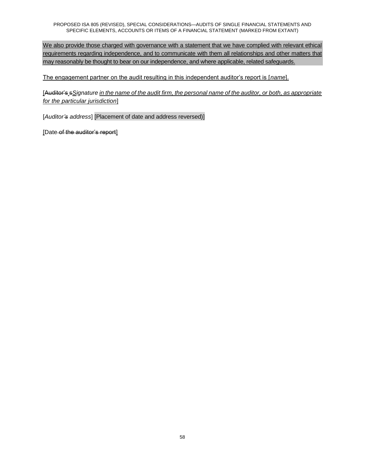PROPOSED ISA 805 (REVISED), SPECIAL CONSIDERATIONS—AUDITS OF SINGLE FINANCIAL STATEMENTS AND SPECIFIC ELEMENTS, ACCOUNTS OR ITEMS OF A FINANCIAL STATEMENT (MARKED FROM EXTANT)

We also provide those charged with governance with a statement that we have complied with relevant ethical requirements regarding independence, and to communicate with them all relationships and other matters that may reasonably be thought to bear on our independence, and where applicable, related safeguards.

The engagement partner on the audit resulting in this independent auditor's report is [*name*].

[Auditor's s*Signature in the name of the audit firm, the personal name of the auditor, or both, as appropriate for the particular jurisdiction*]

[*Auditor's address*] [Placement of date and address reversed)]

[Date of the auditor's report]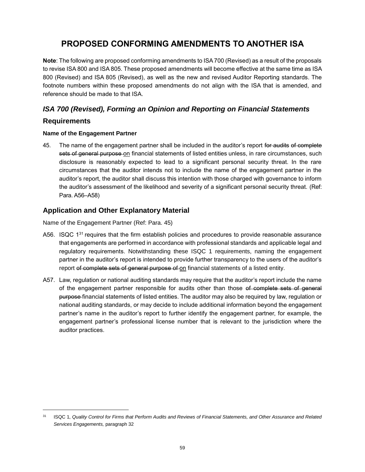# **PROPOSED CONFORMING AMENDMENTS TO ANOTHER ISA**

**Note**: The following are proposed conforming amendments to ISA 700 (Revised) as a result of the proposals to revise ISA 800 and ISA 805. These proposed amendments will become effective at the same time as ISA 800 (Revised) and ISA 805 (Revised), as well as the new and revised Auditor Reporting standards. The footnote numbers within these proposed amendments do not align with the ISA that is amended, and reference should be made to that ISA.

# *ISA 700 (Revised), Forming an Opinion and Reporting on Financial Statements* **Requirements**

#### **Name of the Engagement Partner**

45. The name of the engagement partner shall be included in the auditor's report for audits of complete sets of general purpose on financial statements of listed entities unless, in rare circumstances, such disclosure is reasonably expected to lead to a significant personal security threat. In the rare circumstances that the auditor intends not to include the name of the engagement partner in the auditor's report, the auditor shall discuss this intention with those charged with governance to inform the auditor's assessment of the likelihood and severity of a significant personal security threat. (Ref: Para. A56–A58)

## **Application and Other Explanatory Material**

Name of the Engagement Partner (Ref: Para. 45)

- A56. ISQC 1<sup>31</sup> requires that the firm establish policies and procedures to provide reasonable assurance that engagements are performed in accordance with professional standards and applicable legal and regulatory requirements. Notwithstanding these ISQC 1 requirements, naming the engagement partner in the auditor's report is intended to provide further transparency to the users of the auditor's report of complete sets of general purpose of on financial statements of a listed entity.
- A57. Law, regulation or national auditing standards may require that the auditor's report include the name of the engagement partner responsible for audits other than those of complete sets of general purpose financial statements of listed entities. The auditor may also be required by law, regulation or national auditing standards, or may decide to include additional information beyond the engagement partner's name in the auditor's report to further identify the engagement partner, for example, the engagement partner's professional license number that is relevant to the jurisdiction where the auditor practices.

<sup>31</sup> ISQC 1, *Quality Control for Firms that Perform Audits and Reviews of Financial Statements, and Other Assurance and Related Services Engagements,* paragraph 32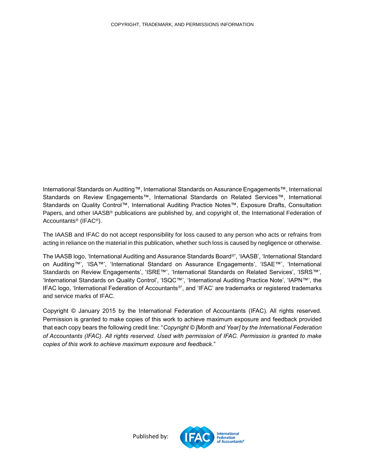International Standards on Auditing™, International Standards on Assurance Engagements™, International Standards on Review Engagements™, International Standards on Related Services™, International Standards on Quality Control™, International Auditing Practice Notes™, Exposure Drafts, Consultation Papers, and other IAASB® publications are published by, and copyright of, the International Federation of Accountants® (IFAC®).

The IAASB and IFAC do not accept responsibility for loss caused to any person who acts or refrains from acting in reliance on the material in this publication, whether such loss is caused by negligence or otherwise.

The IAASB logo, 'International Auditing and Assurance Standards Board®', 'IAASB', 'International Standard on Auditing™', 'ISA™', 'International Standard on Assurance Engagements', 'ISAE™', 'International Standards on Review Engagements', 'ISRE™', 'International Standards on Related Services', 'ISRS™', 'International Standards on Quality Control', 'ISQC™', 'International Auditing Practice Note', 'IAPN™', the IFAC logo, 'International Federation of Accountants®', and 'IFAC' are trademarks or registered trademarks and service marks of IFAC.

Copyright © January 2015 by the International Federation of Accountants (IFAC). All rights reserved. Permission is granted to make copies of this work to achieve maximum exposure and feedback provided that each copy bears the following credit line: "*Copyright © [Month and Year] by the International Federation of Accountants (IFAC). All rights reserved. Used with permission of IFAC. Permission is granted to make copies of this work to achieve maximum exposure and feedback.*"